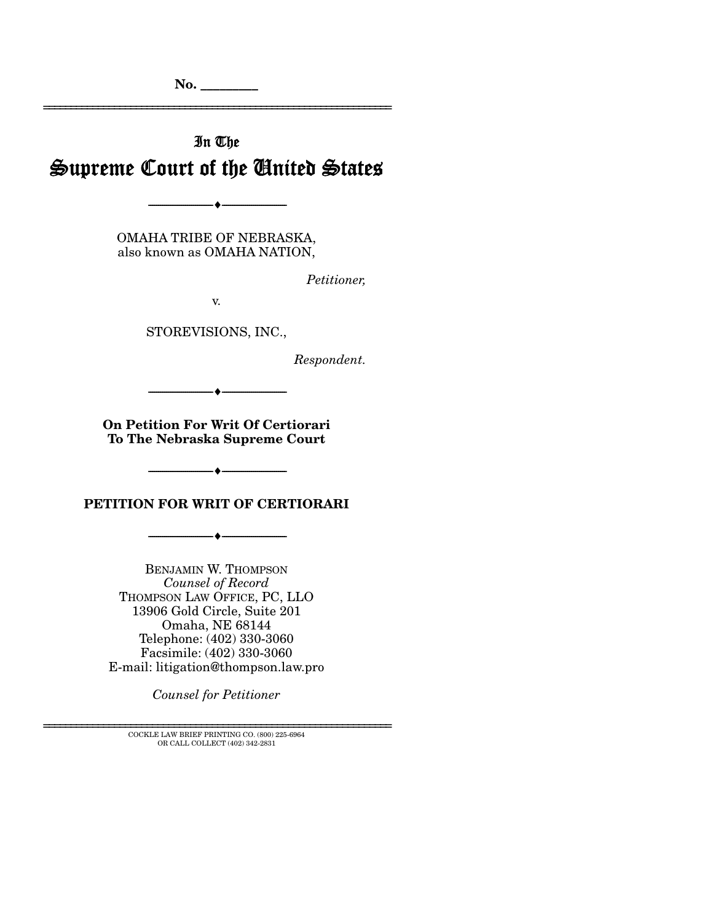**No. \_\_\_\_\_\_\_\_\_** 

# In The Supreme Court of the United States

================================================================

OMAHA TRIBE OF NEBRASKA, also known as OMAHA NATION,

--------------------------------- ♦ ---------------------------------

*Petitioner,* 

v.

STOREVISIONS, INC.,

*Respondent.* 

**On Petition For Writ Of Certiorari To The Nebraska Supreme Court** 

--------------------------------- ♦ ---------------------------------

**PETITION FOR WRIT OF CERTIORARI** 

--------------------------------- ♦ ---------------------------------

--------------------------------- ♦ ---------------------------------

BENJAMIN W. THOMPSON *Counsel of Record* THOMPSON LAW OFFICE, PC, LLO 13906 Gold Circle, Suite 201 Omaha, NE 68144 Telephone: (402) 330-3060 Facsimile: (402) 330-3060

E-mail: litigation@thompson.law.pro

*Counsel for Petitioner* 

 ${\rm COCKLE}$  LAW BRIEF PRINTING CO. (800) 225-6964 OR CALL COLLECT (402) 342-2831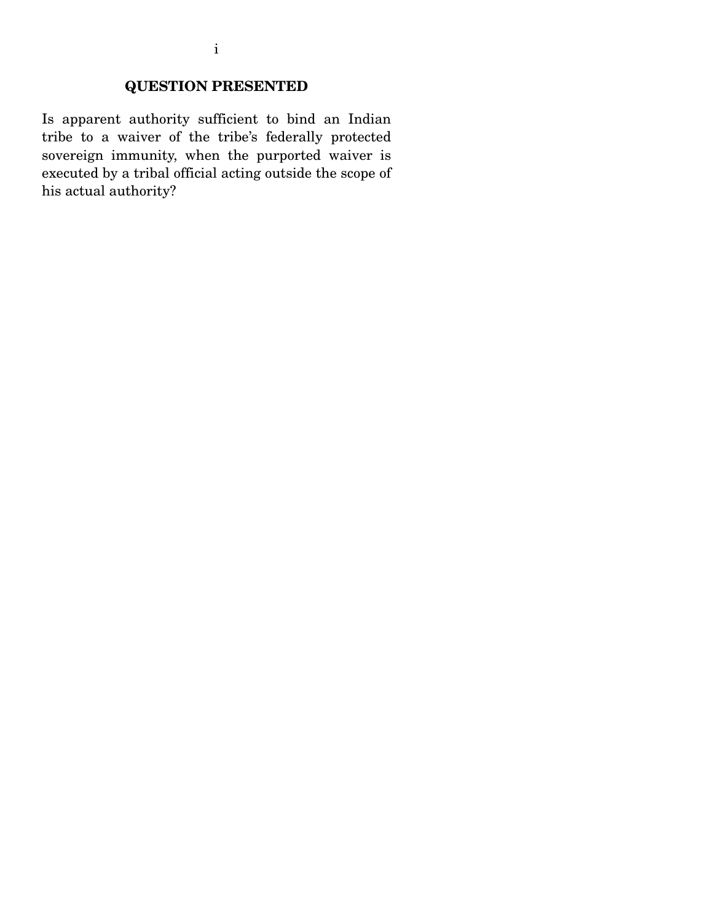## **QUESTION PRESENTED**

Is apparent authority sufficient to bind an Indian tribe to a waiver of the tribe's federally protected sovereign immunity, when the purported waiver is executed by a tribal official acting outside the scope of his actual authority?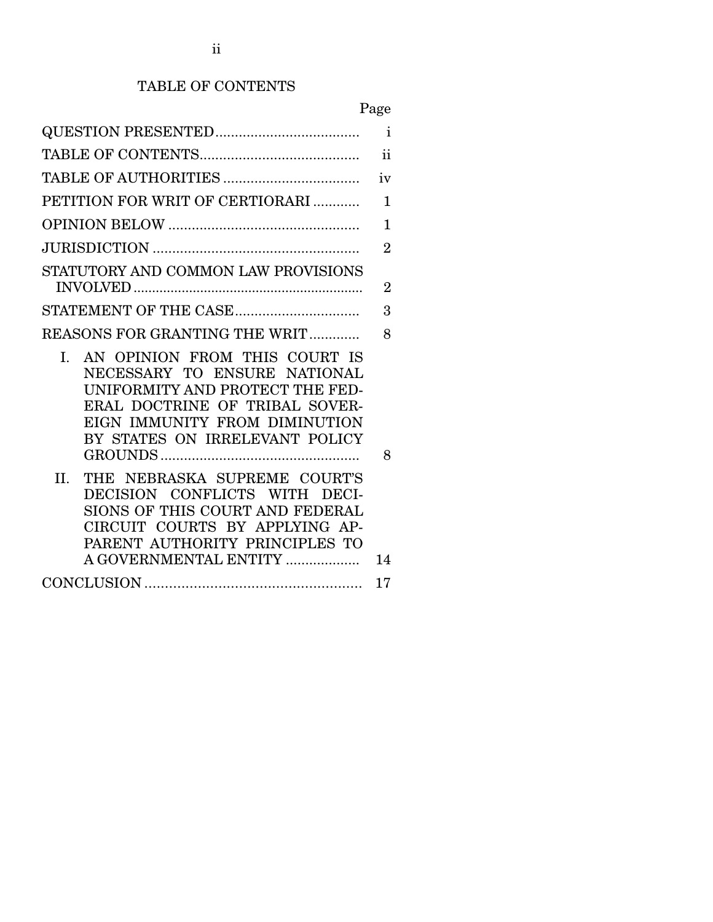## TABLE OF CONTENTS

| × |
|---|
|---|

|                                                                                                                                                                                                                                                                                                                                                                                                                               | $\mathbf{i}$   |
|-------------------------------------------------------------------------------------------------------------------------------------------------------------------------------------------------------------------------------------------------------------------------------------------------------------------------------------------------------------------------------------------------------------------------------|----------------|
|                                                                                                                                                                                                                                                                                                                                                                                                                               | ii             |
|                                                                                                                                                                                                                                                                                                                                                                                                                               | iv             |
| PETITION FOR WRIT OF CERTIORARI                                                                                                                                                                                                                                                                                                                                                                                               | 1              |
|                                                                                                                                                                                                                                                                                                                                                                                                                               | 1              |
|                                                                                                                                                                                                                                                                                                                                                                                                                               | $\overline{2}$ |
| STATUTORY AND COMMON LAW PROVISIONS                                                                                                                                                                                                                                                                                                                                                                                           |                |
|                                                                                                                                                                                                                                                                                                                                                                                                                               | $\overline{2}$ |
|                                                                                                                                                                                                                                                                                                                                                                                                                               | 3              |
| REASONS FOR GRANTING THE WRIT                                                                                                                                                                                                                                                                                                                                                                                                 | 8              |
| AN OPINION FROM THIS COURT IS<br>$\mathbf{L}$<br>NECESSARY TO ENSURE NATIONAL<br>UNIFORMITY AND PROTECT THE FED-<br>ERAL DOCTRINE OF TRIBAL SOVER-<br>EIGN IMMUNITY FROM DIMINUTION<br>BY STATES ON IRRELEVANT POLICY<br>THE NEBRASKA SUPREME COURT'S<br>II.<br>DECISION CONFLICTS WITH DECI-<br>SIONS OF THIS COURT AND FEDERAL<br>CIRCUIT COURTS BY APPLYING AP-<br>PARENT AUTHORITY PRINCIPLES TO<br>A GOVERNMENTAL ENTITY | 8<br>14        |
|                                                                                                                                                                                                                                                                                                                                                                                                                               | 17             |
|                                                                                                                                                                                                                                                                                                                                                                                                                               |                |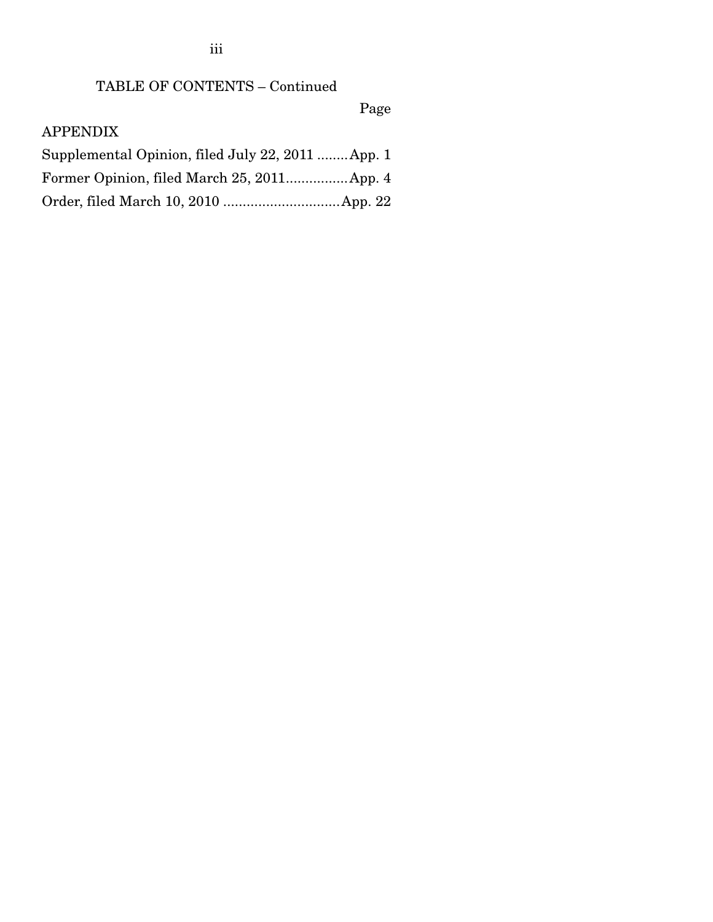TABLE OF CONTENTS – Continued

Page

## APPENDIX

| Supplemental Opinion, filed July 22, 2011  App. 1 |  |
|---------------------------------------------------|--|
|                                                   |  |
|                                                   |  |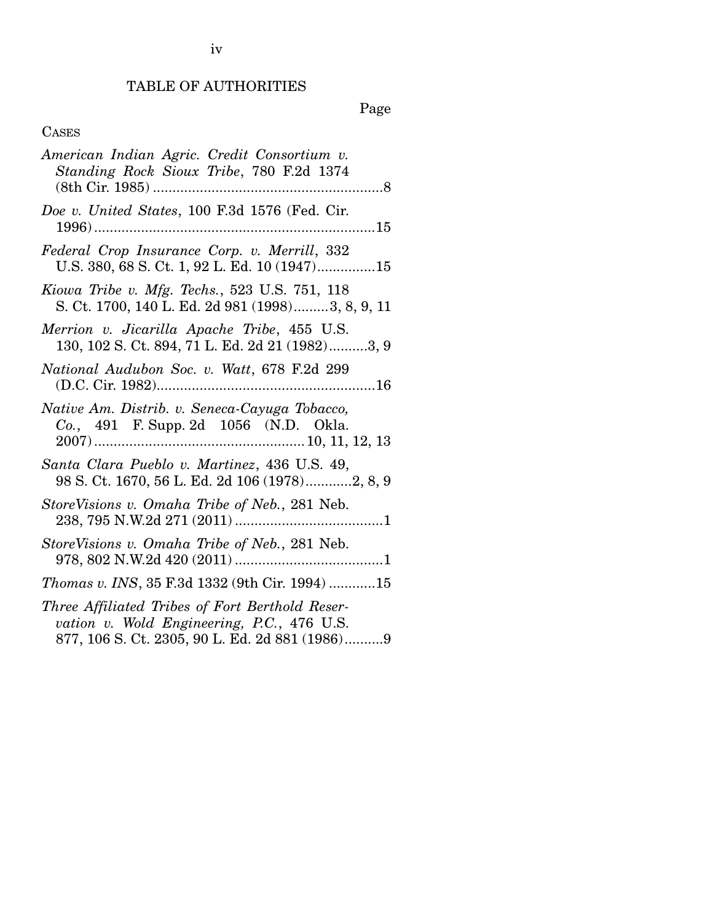## TABLE OF AUTHORITIES

Page

## CASES

| American Indian Agric. Credit Consortium v.<br>Standing Rock Sioux Tribe, 780 F.2d 1374                                                         |
|-------------------------------------------------------------------------------------------------------------------------------------------------|
| Doe v. United States, 100 F.3d 1576 (Fed. Cir.                                                                                                  |
| Federal Crop Insurance Corp. v. Merrill, 332<br>U.S. 380, 68 S. Ct. 1, 92 L. Ed. 10 (1947)15                                                    |
| Kiowa Tribe v. Mfg. Techs., 523 U.S. 751, 118<br>S. Ct. 1700, 140 L. Ed. 2d 981 (1998)3, 8, 9, 11                                               |
| Merrion v. Jicarilla Apache Tribe, 455 U.S.<br>130, 102 S. Ct. 894, 71 L. Ed. 2d 21 (1982)3, 9                                                  |
| National Audubon Soc. v. Watt, 678 F.2d 299                                                                                                     |
| Native Am. Distrib. v. Seneca-Cayuga Tobacco,<br>Co., 491 F. Supp. 2d 1056 (N.D. Okla.                                                          |
| Santa Clara Pueblo v. Martinez, 436 U.S. 49,<br>98 S. Ct. 1670, 56 L. Ed. 2d 106 (1978)2, 8, 9                                                  |
| StoreVisions v. Omaha Tribe of Neb., 281 Neb.                                                                                                   |
| StoreVisions v. Omaha Tribe of Neb., 281 Neb.                                                                                                   |
| Thomas v. INS, 35 F.3d 1332 (9th Cir. 1994) 15                                                                                                  |
| Three Affiliated Tribes of Fort Berthold Reser-<br>vation v. Wold Engineering, P.C., 476 U.S.<br>877, 106 S. Ct. 2305, 90 L. Ed. 2d 881 (1986)9 |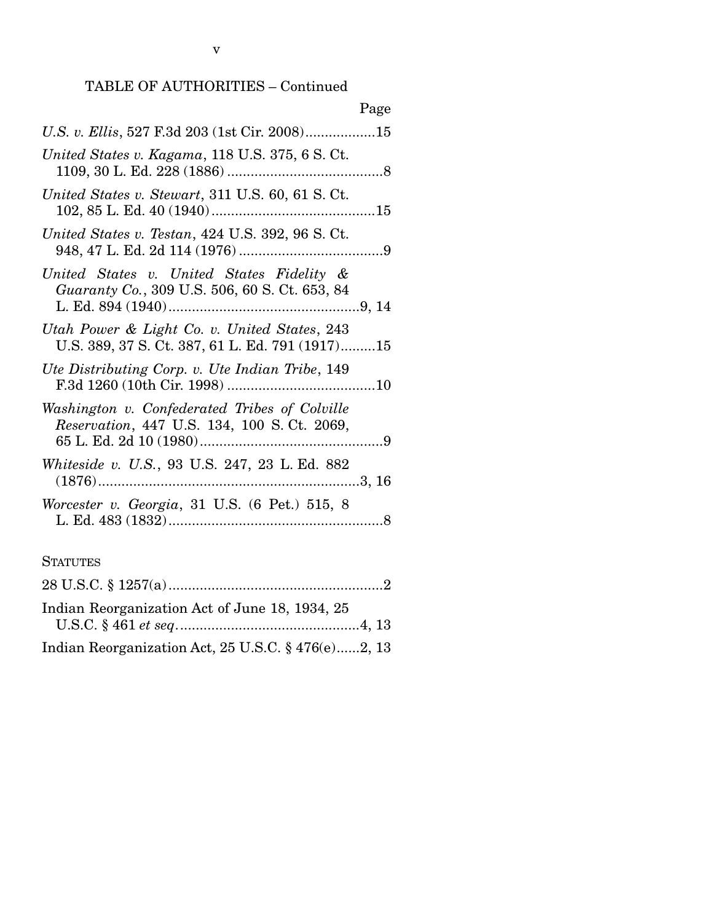v

|                                                                                                   | Page |
|---------------------------------------------------------------------------------------------------|------|
| U.S. v. Ellis, 527 F.3d 203 (1st Cir. 2008)15                                                     |      |
| United States v. Kagama, 118 U.S. 375, 6 S. Ct.                                                   |      |
| United States v. Stewart, 311 U.S. 60, 61 S. Ct.                                                  |      |
| United States v. Testan, 424 U.S. 392, 96 S.Ct.                                                   |      |
| United States v. United States Fidelity &<br><i>Guaranty Co., 309 U.S. 506, 60 S. Ct. 653, 84</i> |      |
| Utah Power & Light Co. v. United States, 243<br>U.S. 389, 37 S. Ct. 387, 61 L. Ed. 791 (1917)15   |      |
| Ute Distributing Corp. v. Ute Indian Tribe, 149                                                   |      |
| Washington v. Confederated Tribes of Colville<br>Reservation, 447 U.S. 134, 100 S.Ct. 2069,       |      |
| Whiteside v. U.S., 93 U.S. 247, 23 L. Ed. 882                                                     |      |
| Worcester v. Georgia, 31 U.S. (6 Pet.) 515, 8                                                     |      |

#### **STATUTES**

| Indian Reorganization Act of June 18, 1934, 25     |  |
|----------------------------------------------------|--|
|                                                    |  |
| Indian Reorganization Act, 25 U.S.C. § 476(e)2, 13 |  |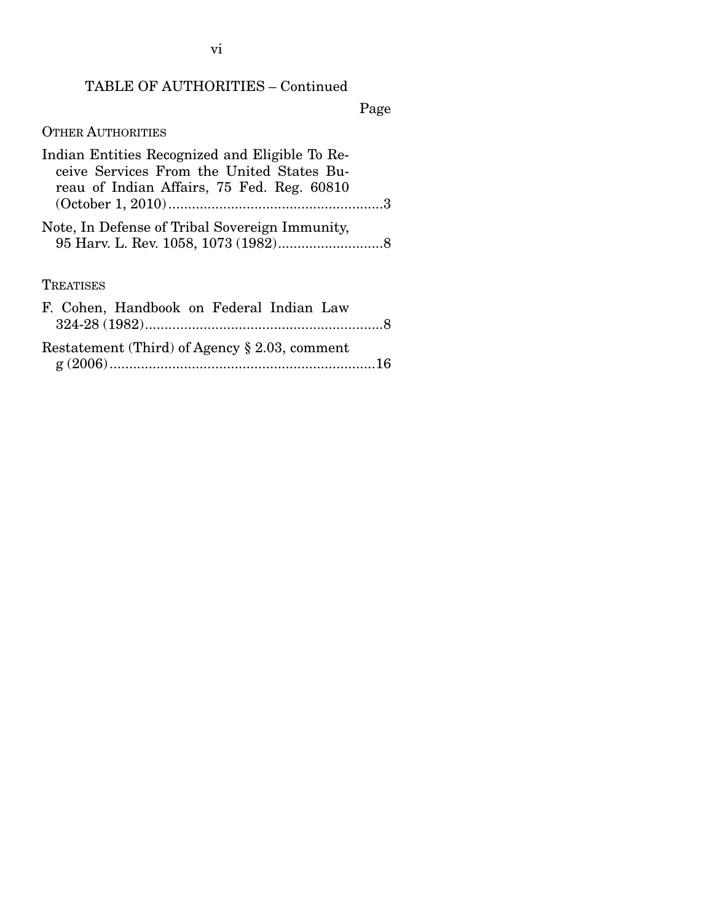## TABLE OF AUTHORITIES – Continued

Page

## OTHER AUTHORITIES

| Indian Entities Recognized and Eligible To Re-<br>ceive Services From the United States Bu-<br>reau of Indian Affairs, 75 Fed. Reg. 60810 |
|-------------------------------------------------------------------------------------------------------------------------------------------|
| Note, In Defense of Tribal Sovereign Immunity,                                                                                            |
| TREATISES                                                                                                                                 |
| F. Cohen, Handbook on Federal Indian Law                                                                                                  |

| Restatement (Third) of Agency $\S 2.03$ , comment |  |
|---------------------------------------------------|--|
|                                                   |  |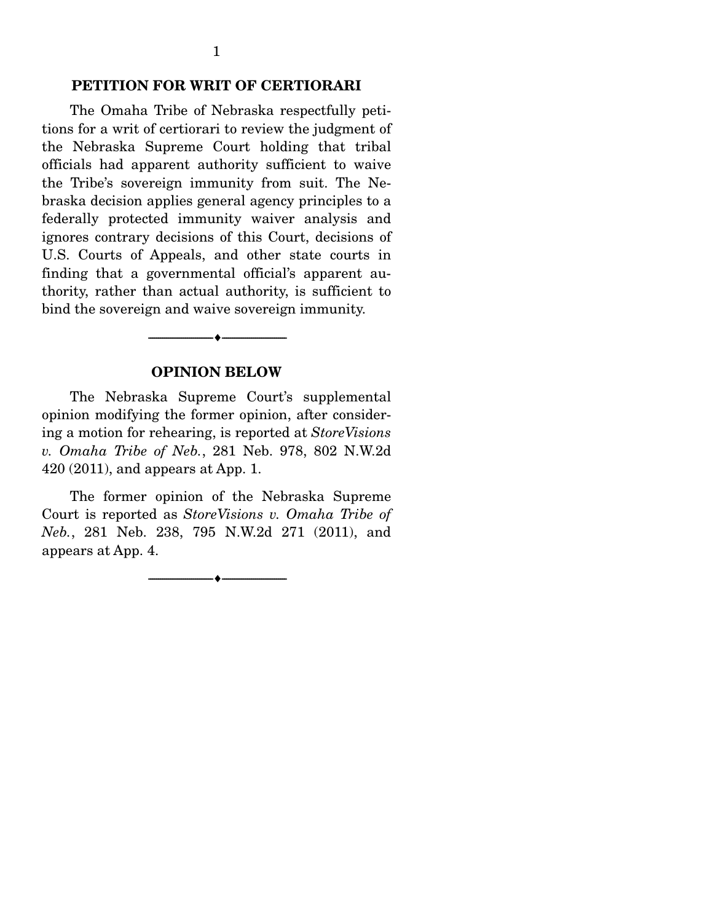The Omaha Tribe of Nebraska respectfully petitions for a writ of certiorari to review the judgment of the Nebraska Supreme Court holding that tribal officials had apparent authority sufficient to waive the Tribe's sovereign immunity from suit. The Nebraska decision applies general agency principles to a federally protected immunity waiver analysis and ignores contrary decisions of this Court, decisions of U.S. Courts of Appeals, and other state courts in finding that a governmental official's apparent authority, rather than actual authority, is sufficient to bind the sovereign and waive sovereign immunity.

#### **OPINION BELOW**

--------------------------------- ♦ ---------------------------------

 The Nebraska Supreme Court's supplemental opinion modifying the former opinion, after considering a motion for rehearing, is reported at *StoreVisions v. Omaha Tribe of Neb.*, 281 Neb. 978, 802 N.W.2d 420 (2011), and appears at App. 1.

 The former opinion of the Nebraska Supreme Court is reported as *StoreVisions v. Omaha Tribe of Neb.*, 281 Neb. 238, 795 N.W.2d 271 (2011), and appears at App. 4.

 $\overbrace{\hspace{2.5cm}}$   $\overbrace{\hspace{2.5cm}}$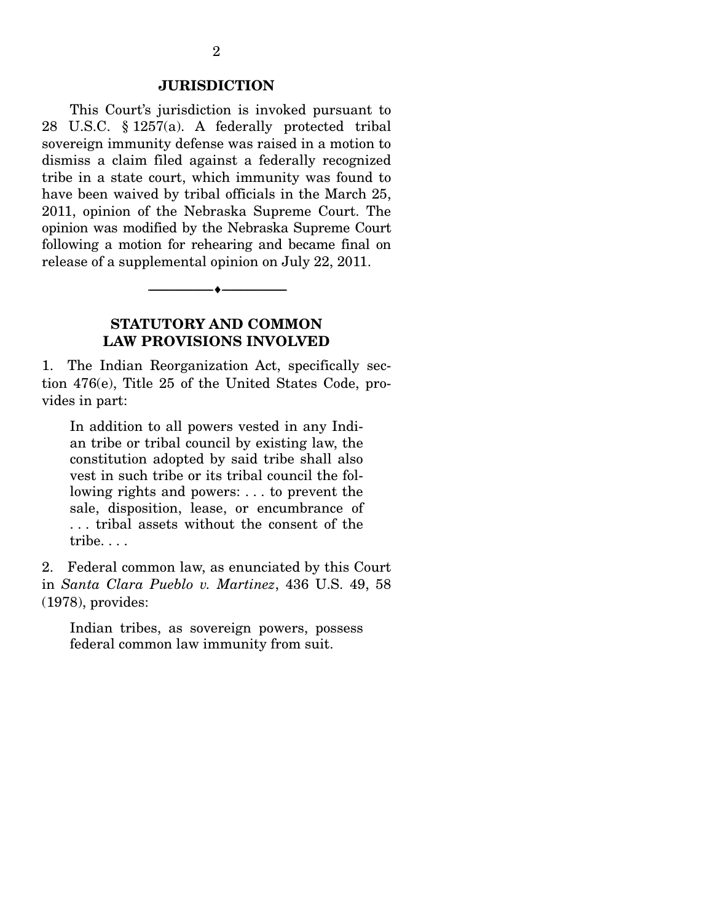#### **JURISDICTION**

 This Court's jurisdiction is invoked pursuant to 28 U.S.C. § 1257(a). A federally protected tribal sovereign immunity defense was raised in a motion to dismiss a claim filed against a federally recognized tribe in a state court, which immunity was found to have been waived by tribal officials in the March 25, 2011, opinion of the Nebraska Supreme Court. The opinion was modified by the Nebraska Supreme Court following a motion for rehearing and became final on release of a supplemental opinion on July 22, 2011.

## **STATUTORY AND COMMON LAW PROVISIONS INVOLVED**

 $\overbrace{\hspace{2.5cm}}$   $\overbrace{\hspace{2.5cm}}$ 

1. The Indian Reorganization Act, specifically section 476(e), Title 25 of the United States Code, provides in part:

In addition to all powers vested in any Indian tribe or tribal council by existing law, the constitution adopted by said tribe shall also vest in such tribe or its tribal council the following rights and powers: . . . to prevent the sale, disposition, lease, or encumbrance of . . . tribal assets without the consent of the tribe. . . .

2. Federal common law, as enunciated by this Court in *Santa Clara Pueblo v. Martinez*, 436 U.S. 49, 58 (1978), provides:

Indian tribes, as sovereign powers, possess federal common law immunity from suit.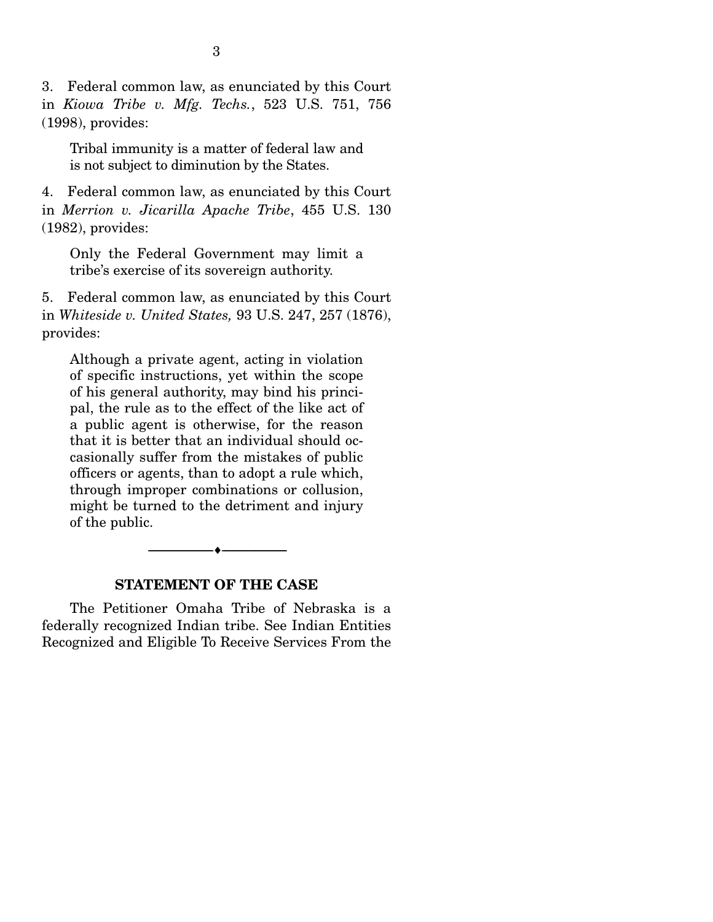3. Federal common law, as enunciated by this Court in *Kiowa Tribe v. Mfg. Techs.*, 523 U.S. 751, 756 (1998), provides:

Tribal immunity is a matter of federal law and is not subject to diminution by the States.

4. Federal common law, as enunciated by this Court in *Merrion v. Jicarilla Apache Tribe*, 455 U.S. 130 (1982), provides:

Only the Federal Government may limit a tribe's exercise of its sovereign authority.

5. Federal common law, as enunciated by this Court in *Whiteside v. United States,* 93 U.S. 247, 257 (1876), provides:

Although a private agent, acting in violation of specific instructions, yet within the scope of his general authority, may bind his principal, the rule as to the effect of the like act of a public agent is otherwise, for the reason that it is better that an individual should occasionally suffer from the mistakes of public officers or agents, than to adopt a rule which, through improper combinations or collusion, might be turned to the detriment and injury of the public.

 $\overbrace{\hspace{2.5cm}}$   $\overbrace{\hspace{2.5cm}}$ 

#### **STATEMENT OF THE CASE**

 The Petitioner Omaha Tribe of Nebraska is a federally recognized Indian tribe. See Indian Entities Recognized and Eligible To Receive Services From the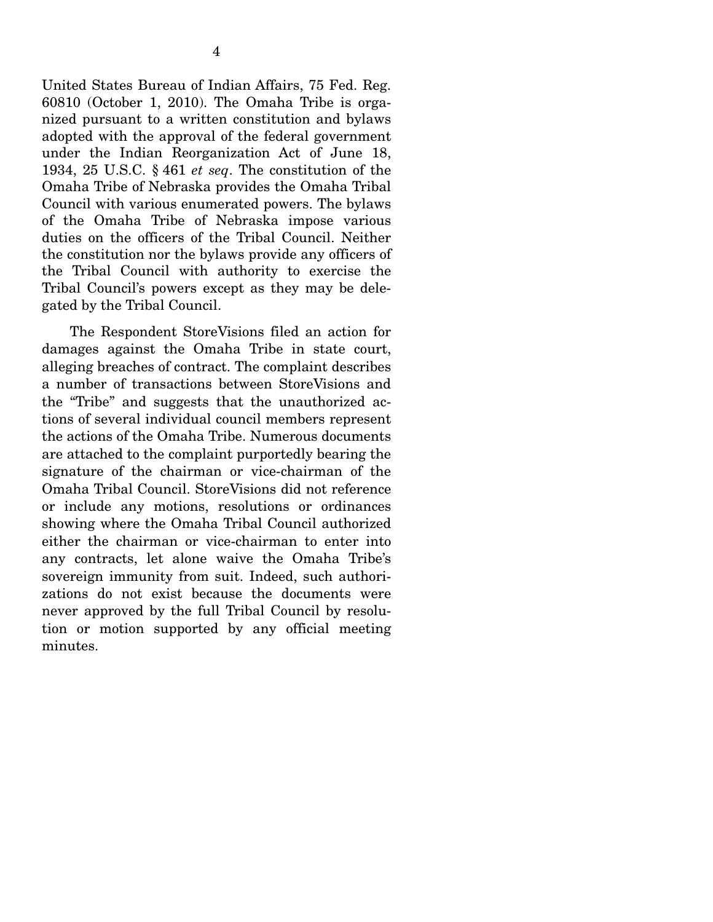United States Bureau of Indian Affairs, 75 Fed. Reg. 60810 (October 1, 2010). The Omaha Tribe is organized pursuant to a written constitution and bylaws adopted with the approval of the federal government under the Indian Reorganization Act of June 18, 1934, 25 U.S.C. § 461 *et seq*. The constitution of the Omaha Tribe of Nebraska provides the Omaha Tribal Council with various enumerated powers. The bylaws of the Omaha Tribe of Nebraska impose various duties on the officers of the Tribal Council. Neither the constitution nor the bylaws provide any officers of the Tribal Council with authority to exercise the Tribal Council's powers except as they may be delegated by the Tribal Council.

 The Respondent StoreVisions filed an action for damages against the Omaha Tribe in state court, alleging breaches of contract. The complaint describes a number of transactions between StoreVisions and the "Tribe" and suggests that the unauthorized actions of several individual council members represent the actions of the Omaha Tribe. Numerous documents are attached to the complaint purportedly bearing the signature of the chairman or vice-chairman of the Omaha Tribal Council. StoreVisions did not reference or include any motions, resolutions or ordinances showing where the Omaha Tribal Council authorized either the chairman or vice-chairman to enter into any contracts, let alone waive the Omaha Tribe's sovereign immunity from suit. Indeed, such authorizations do not exist because the documents were never approved by the full Tribal Council by resolution or motion supported by any official meeting minutes.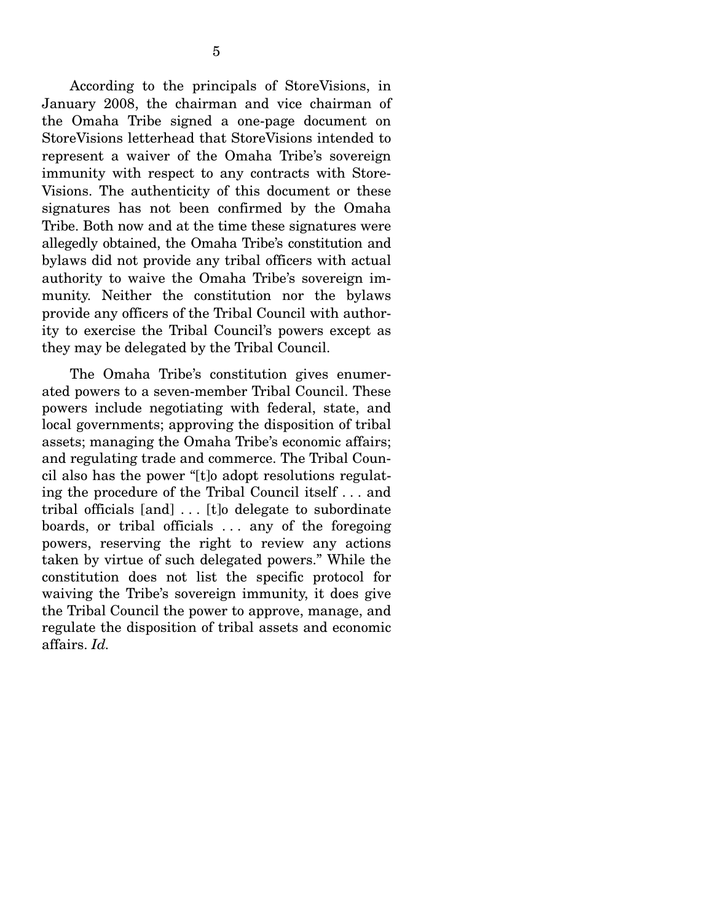According to the principals of StoreVisions, in January 2008, the chairman and vice chairman of the Omaha Tribe signed a one-page document on StoreVisions letterhead that StoreVisions intended to represent a waiver of the Omaha Tribe's sovereign immunity with respect to any contracts with Store-Visions. The authenticity of this document or these signatures has not been confirmed by the Omaha Tribe. Both now and at the time these signatures were allegedly obtained, the Omaha Tribe's constitution and bylaws did not provide any tribal officers with actual authority to waive the Omaha Tribe's sovereign immunity. Neither the constitution nor the bylaws provide any officers of the Tribal Council with authority to exercise the Tribal Council's powers except as they may be delegated by the Tribal Council.

 The Omaha Tribe's constitution gives enumerated powers to a seven-member Tribal Council. These powers include negotiating with federal, state, and local governments; approving the disposition of tribal assets; managing the Omaha Tribe's economic affairs; and regulating trade and commerce. The Tribal Council also has the power "[t]o adopt resolutions regulating the procedure of the Tribal Council itself . . . and tribal officials [and] . . . [t]o delegate to subordinate boards, or tribal officials ... any of the foregoing powers, reserving the right to review any actions taken by virtue of such delegated powers." While the constitution does not list the specific protocol for waiving the Tribe's sovereign immunity, it does give the Tribal Council the power to approve, manage, and regulate the disposition of tribal assets and economic affairs. *Id.*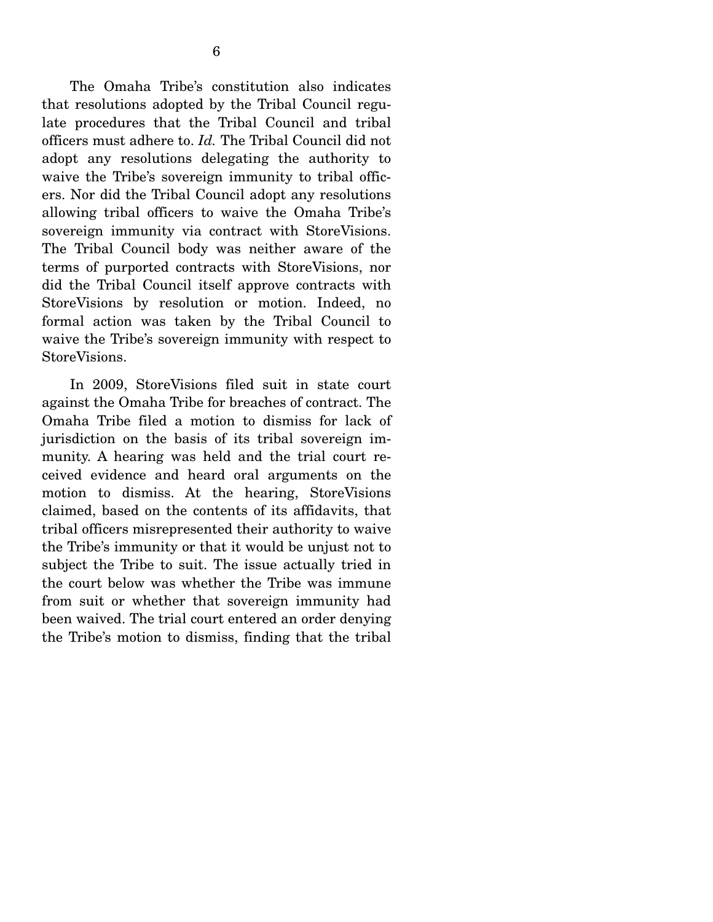The Omaha Tribe's constitution also indicates that resolutions adopted by the Tribal Council regulate procedures that the Tribal Council and tribal officers must adhere to. *Id.* The Tribal Council did not adopt any resolutions delegating the authority to waive the Tribe's sovereign immunity to tribal officers. Nor did the Tribal Council adopt any resolutions allowing tribal officers to waive the Omaha Tribe's sovereign immunity via contract with StoreVisions. The Tribal Council body was neither aware of the terms of purported contracts with StoreVisions, nor did the Tribal Council itself approve contracts with StoreVisions by resolution or motion. Indeed, no formal action was taken by the Tribal Council to waive the Tribe's sovereign immunity with respect to StoreVisions.

 In 2009, StoreVisions filed suit in state court against the Omaha Tribe for breaches of contract. The Omaha Tribe filed a motion to dismiss for lack of jurisdiction on the basis of its tribal sovereign immunity. A hearing was held and the trial court received evidence and heard oral arguments on the motion to dismiss. At the hearing, StoreVisions claimed, based on the contents of its affidavits, that tribal officers misrepresented their authority to waive the Tribe's immunity or that it would be unjust not to subject the Tribe to suit. The issue actually tried in the court below was whether the Tribe was immune from suit or whether that sovereign immunity had been waived. The trial court entered an order denying the Tribe's motion to dismiss, finding that the tribal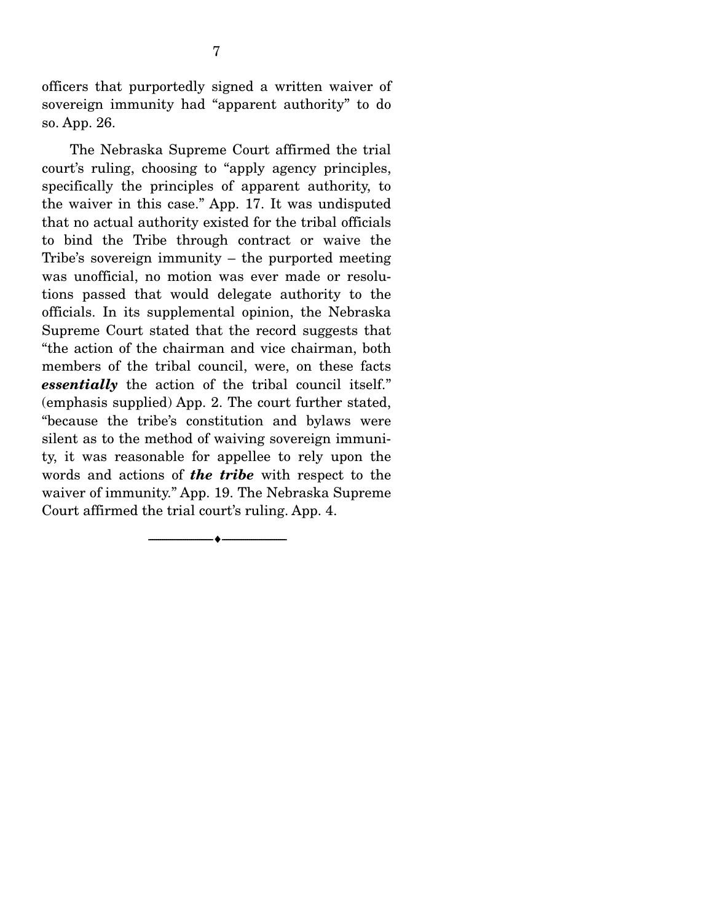officers that purportedly signed a written waiver of sovereign immunity had "apparent authority" to do so. App. 26.

 The Nebraska Supreme Court affirmed the trial court's ruling, choosing to "apply agency principles, specifically the principles of apparent authority, to the waiver in this case." App. 17. It was undisputed that no actual authority existed for the tribal officials to bind the Tribe through contract or waive the Tribe's sovereign immunity – the purported meeting was unofficial, no motion was ever made or resolutions passed that would delegate authority to the officials. In its supplemental opinion, the Nebraska Supreme Court stated that the record suggests that "the action of the chairman and vice chairman, both members of the tribal council, were, on these facts *essentially* the action of the tribal council itself." (emphasis supplied) App. 2. The court further stated, "because the tribe's constitution and bylaws were silent as to the method of waiving sovereign immunity, it was reasonable for appellee to rely upon the words and actions of *the tribe* with respect to the waiver of immunity." App. 19. The Nebraska Supreme Court affirmed the trial court's ruling. App. 4.

--------------------------------- ♦ ---------------------------------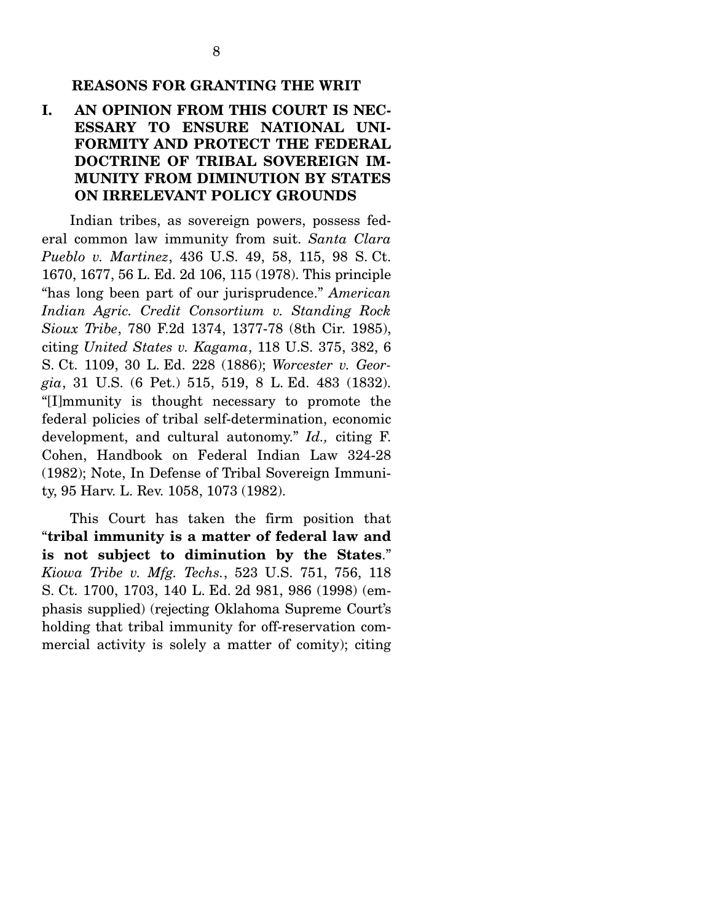#### **REASONS FOR GRANTING THE WRIT**

## **I. AN OPINION FROM THIS COURT IS NEC-ESSARY TO ENSURE NATIONAL UNI-FORMITY AND PROTECT THE FEDERAL DOCTRINE OF TRIBAL SOVEREIGN IM-MUNITY FROM DIMINUTION BY STATES ON IRRELEVANT POLICY GROUNDS**

 Indian tribes, as sovereign powers, possess federal common law immunity from suit. *Santa Clara Pueblo v. Martinez*, 436 U.S. 49, 58, 115, 98 S. Ct. 1670, 1677, 56 L. Ed. 2d 106, 115 (1978). This principle "has long been part of our jurisprudence." *American Indian Agric. Credit Consortium v. Standing Rock Sioux Tribe*, 780 F.2d 1374, 1377-78 (8th Cir. 1985), citing *United States v. Kagama*, 118 U.S. 375, 382, 6 S. Ct. 1109, 30 L. Ed. 228 (1886); *Worcester v. Georgia*, 31 U.S. (6 Pet.) 515, 519, 8 L. Ed. 483 (1832). "[I]mmunity is thought necessary to promote the federal policies of tribal self-determination, economic development, and cultural autonomy." *Id.,* citing F. Cohen, Handbook on Federal Indian Law 324-28 (1982); Note, In Defense of Tribal Sovereign Immunity, 95 Harv. L. Rev. 1058, 1073 (1982).

 This Court has taken the firm position that "**tribal immunity is a matter of federal law and is not subject to diminution by the States**." *Kiowa Tribe v. Mfg. Techs.*, 523 U.S. 751, 756, 118 S. Ct. 1700, 1703, 140 L. Ed. 2d 981, 986 (1998) (emphasis supplied) (rejecting Oklahoma Supreme Court's holding that tribal immunity for off-reservation commercial activity is solely a matter of comity); citing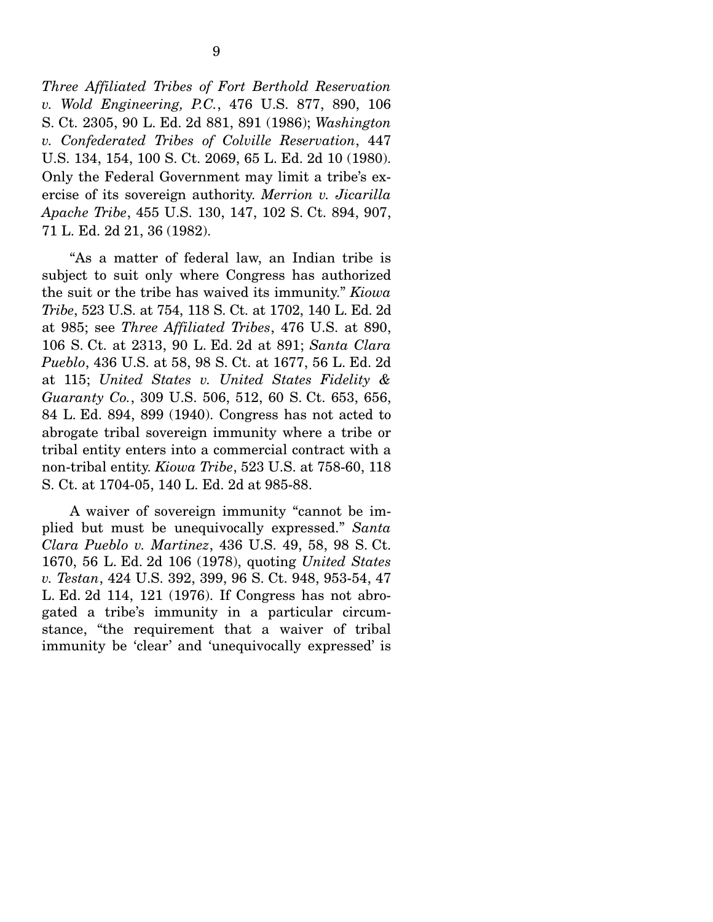*Three Affiliated Tribes of Fort Berthold Reservation v. Wold Engineering, P.C.*, 476 U.S. 877, 890, 106 S. Ct. 2305, 90 L. Ed. 2d 881, 891 (1986); *Washington v. Confederated Tribes of Colville Reservation*, 447 U.S. 134, 154, 100 S. Ct. 2069, 65 L. Ed. 2d 10 (1980). Only the Federal Government may limit a tribe's exercise of its sovereign authority. *Merrion v. Jicarilla Apache Tribe*, 455 U.S. 130, 147, 102 S. Ct. 894, 907, 71 L. Ed. 2d 21, 36 (1982).

 "As a matter of federal law, an Indian tribe is subject to suit only where Congress has authorized the suit or the tribe has waived its immunity." *Kiowa Tribe*, 523 U.S. at 754, 118 S. Ct. at 1702, 140 L. Ed. 2d at 985; see *Three Affiliated Tribes*, 476 U.S. at 890, 106 S. Ct. at 2313, 90 L. Ed. 2d at 891; *Santa Clara Pueblo*, 436 U.S. at 58, 98 S. Ct. at 1677, 56 L. Ed. 2d at 115; *United States v. United States Fidelity & Guaranty Co.*, 309 U.S. 506, 512, 60 S. Ct. 653, 656, 84 L. Ed. 894, 899 (1940). Congress has not acted to abrogate tribal sovereign immunity where a tribe or tribal entity enters into a commercial contract with a non-tribal entity. *Kiowa Tribe*, 523 U.S. at 758-60, 118 S. Ct. at 1704-05, 140 L. Ed. 2d at 985-88.

 A waiver of sovereign immunity "cannot be implied but must be unequivocally expressed." *Santa Clara Pueblo v. Martinez*, 436 U.S. 49, 58, 98 S. Ct. 1670, 56 L. Ed. 2d 106 (1978), quoting *United States v. Testan*, 424 U.S. 392, 399, 96 S. Ct. 948, 953-54, 47 L. Ed. 2d 114, 121 (1976). If Congress has not abrogated a tribe's immunity in a particular circumstance, "the requirement that a waiver of tribal immunity be 'clear' and 'unequivocally expressed' is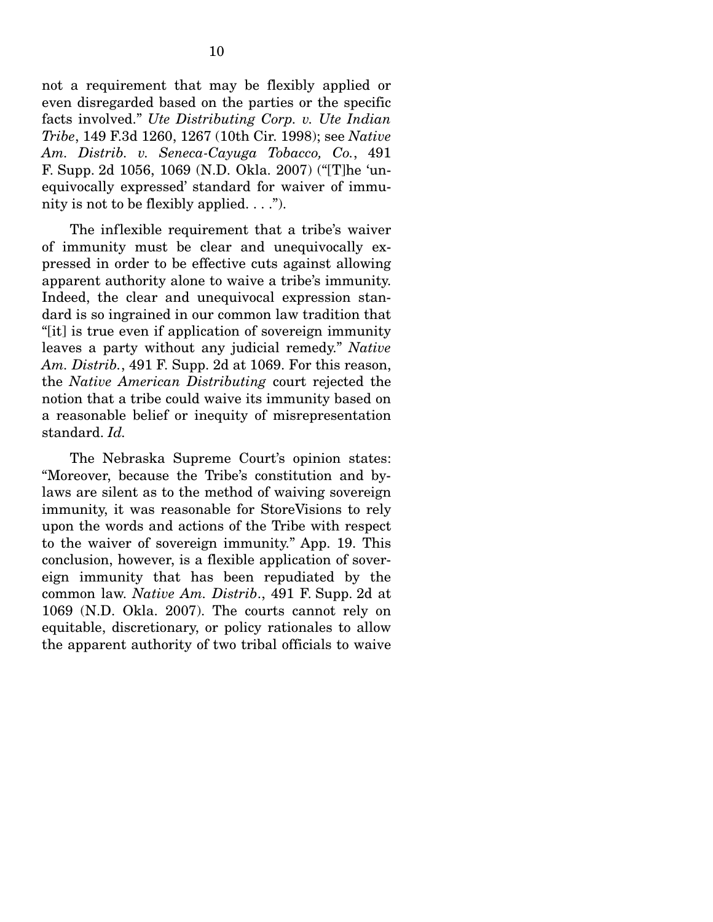not a requirement that may be flexibly applied or even disregarded based on the parties or the specific facts involved." *Ute Distributing Corp. v. Ute Indian Tribe*, 149 F.3d 1260, 1267 (10th Cir. 1998); see *Native Am. Distrib. v. Seneca-Cayuga Tobacco, Co.*, 491 F. Supp. 2d 1056, 1069 (N.D. Okla. 2007) ("[T]he 'unequivocally expressed' standard for waiver of immunity is not to be flexibly applied.  $\dots$ ").

 The inflexible requirement that a tribe's waiver of immunity must be clear and unequivocally expressed in order to be effective cuts against allowing apparent authority alone to waive a tribe's immunity. Indeed, the clear and unequivocal expression standard is so ingrained in our common law tradition that "[it] is true even if application of sovereign immunity leaves a party without any judicial remedy." *Native Am. Distrib.*, 491 F. Supp. 2d at 1069. For this reason, the *Native American Distributing* court rejected the notion that a tribe could waive its immunity based on a reasonable belief or inequity of misrepresentation standard. *Id.* 

The Nebraska Supreme Court's opinion states: "Moreover, because the Tribe's constitution and bylaws are silent as to the method of waiving sovereign immunity, it was reasonable for StoreVisions to rely upon the words and actions of the Tribe with respect to the waiver of sovereign immunity." App. 19. This conclusion, however, is a flexible application of sovereign immunity that has been repudiated by the common law. *Native Am. Distrib*., 491 F. Supp. 2d at 1069 (N.D. Okla. 2007). The courts cannot rely on equitable, discretionary, or policy rationales to allow the apparent authority of two tribal officials to waive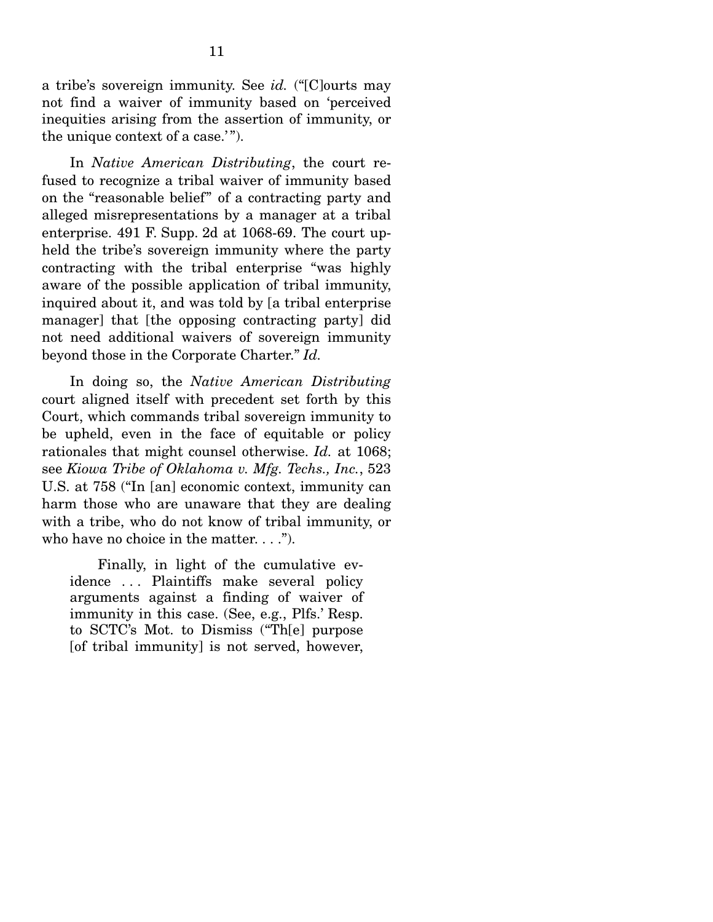a tribe's sovereign immunity. See *id.* ("[C]ourts may not find a waiver of immunity based on 'perceived inequities arising from the assertion of immunity, or the unique context of a case.'".

 In *Native American Distributing*, the court refused to recognize a tribal waiver of immunity based on the "reasonable belief" of a contracting party and alleged misrepresentations by a manager at a tribal enterprise. 491 F. Supp. 2d at 1068-69. The court upheld the tribe's sovereign immunity where the party contracting with the tribal enterprise "was highly aware of the possible application of tribal immunity, inquired about it, and was told by [a tribal enterprise manager] that [the opposing contracting party] did not need additional waivers of sovereign immunity beyond those in the Corporate Charter." *Id.*

 In doing so, the *Native American Distributing* court aligned itself with precedent set forth by this Court, which commands tribal sovereign immunity to be upheld, even in the face of equitable or policy rationales that might counsel otherwise. *Id.* at 1068; see *Kiowa Tribe of Oklahoma v. Mfg. Techs., Inc.*, 523 U.S. at 758 ("In [an] economic context, immunity can harm those who are unaware that they are dealing with a tribe, who do not know of tribal immunity, or who have no choice in the matter.  $\dots$ ").

 Finally, in light of the cumulative evidence ... Plaintiffs make several policy arguments against a finding of waiver of immunity in this case. (See, e.g., Plfs.' Resp. to SCTC's Mot. to Dismiss ("Th[e] purpose [of tribal immunity] is not served, however,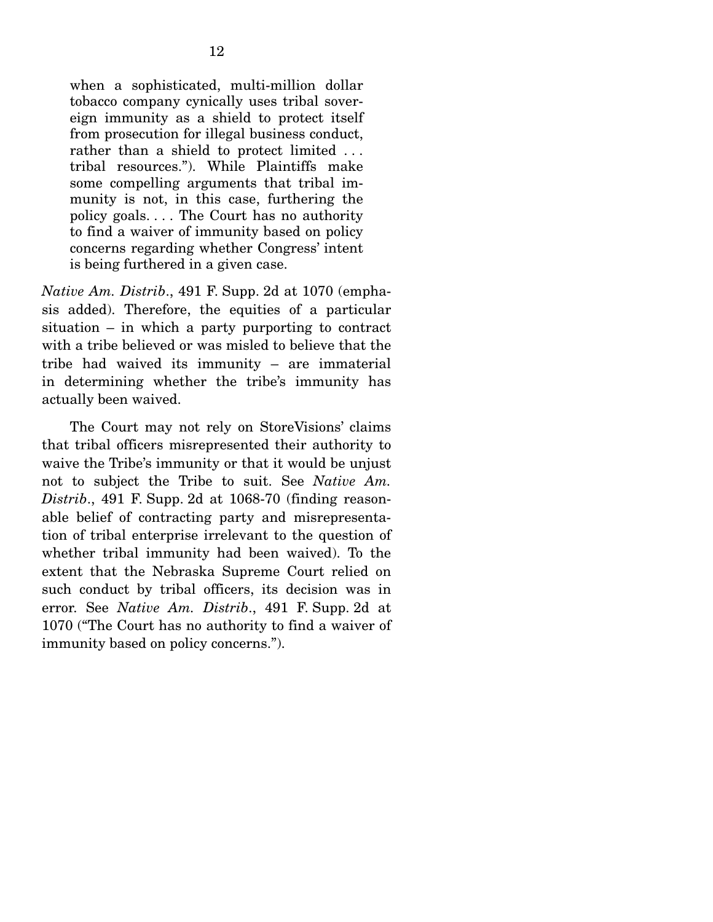when a sophisticated, multi-million dollar tobacco company cynically uses tribal sovereign immunity as a shield to protect itself from prosecution for illegal business conduct, rather than a shield to protect limited ... tribal resources."). While Plaintiffs make some compelling arguments that tribal immunity is not, in this case, furthering the policy goals. . . . The Court has no authority to find a waiver of immunity based on policy concerns regarding whether Congress' intent is being furthered in a given case.

*Native Am. Distrib*., 491 F. Supp. 2d at 1070 (emphasis added). Therefore, the equities of a particular situation – in which a party purporting to contract with a tribe believed or was misled to believe that the tribe had waived its immunity – are immaterial in determining whether the tribe's immunity has actually been waived.

 The Court may not rely on StoreVisions' claims that tribal officers misrepresented their authority to waive the Tribe's immunity or that it would be unjust not to subject the Tribe to suit. See *Native Am. Distrib*., 491 F. Supp. 2d at 1068-70 (finding reasonable belief of contracting party and misrepresentation of tribal enterprise irrelevant to the question of whether tribal immunity had been waived). To the extent that the Nebraska Supreme Court relied on such conduct by tribal officers, its decision was in error. See *Native Am. Distrib*., 491 F. Supp. 2d at 1070 ("The Court has no authority to find a waiver of immunity based on policy concerns.").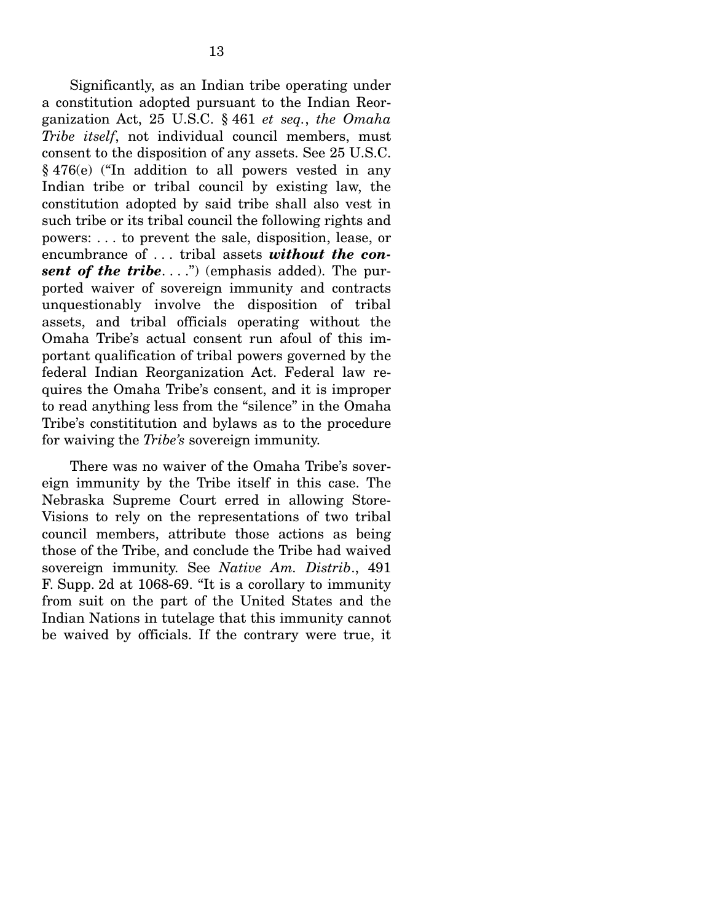Significantly, as an Indian tribe operating under a constitution adopted pursuant to the Indian Reorganization Act, 25 U.S.C. § 461 *et seq.*, *the Omaha Tribe itself*, not individual council members, must consent to the disposition of any assets. See 25 U.S.C. § 476(e) ("In addition to all powers vested in any Indian tribe or tribal council by existing law, the constitution adopted by said tribe shall also vest in such tribe or its tribal council the following rights and powers: . . . to prevent the sale, disposition, lease, or encumbrance of . . . tribal assets *without the con***sent of the tribe....**") (emphasis added). The purported waiver of sovereign immunity and contracts unquestionably involve the disposition of tribal assets, and tribal officials operating without the Omaha Tribe's actual consent run afoul of this important qualification of tribal powers governed by the federal Indian Reorganization Act. Federal law requires the Omaha Tribe's consent, and it is improper to read anything less from the "silence" in the Omaha Tribe's constititution and bylaws as to the procedure for waiving the *Tribe's* sovereign immunity.

 There was no waiver of the Omaha Tribe's sovereign immunity by the Tribe itself in this case. The Nebraska Supreme Court erred in allowing Store-Visions to rely on the representations of two tribal council members, attribute those actions as being those of the Tribe, and conclude the Tribe had waived sovereign immunity. See *Native Am. Distrib*., 491 F. Supp. 2d at 1068-69. "It is a corollary to immunity from suit on the part of the United States and the Indian Nations in tutelage that this immunity cannot be waived by officials. If the contrary were true, it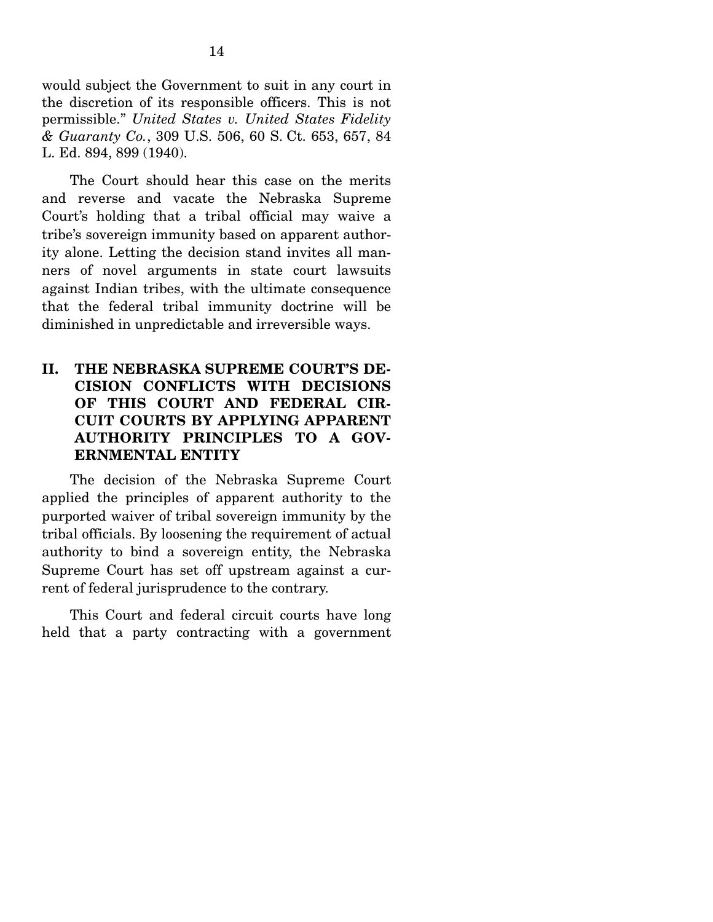would subject the Government to suit in any court in the discretion of its responsible officers. This is not permissible." *United States v. United States Fidelity & Guaranty Co.*, 309 U.S. 506, 60 S. Ct. 653, 657, 84 L. Ed. 894, 899 (1940).

The Court should hear this case on the merits and reverse and vacate the Nebraska Supreme Court's holding that a tribal official may waive a tribe's sovereign immunity based on apparent authority alone. Letting the decision stand invites all manners of novel arguments in state court lawsuits against Indian tribes, with the ultimate consequence that the federal tribal immunity doctrine will be diminished in unpredictable and irreversible ways.

## **II. THE NEBRASKA SUPREME COURT'S DE-CISION CONFLICTS WITH DECISIONS OF THIS COURT AND FEDERAL CIR-CUIT COURTS BY APPLYING APPARENT AUTHORITY PRINCIPLES TO A GOV-ERNMENTAL ENTITY**

 The decision of the Nebraska Supreme Court applied the principles of apparent authority to the purported waiver of tribal sovereign immunity by the tribal officials. By loosening the requirement of actual authority to bind a sovereign entity, the Nebraska Supreme Court has set off upstream against a current of federal jurisprudence to the contrary.

 This Court and federal circuit courts have long held that a party contracting with a government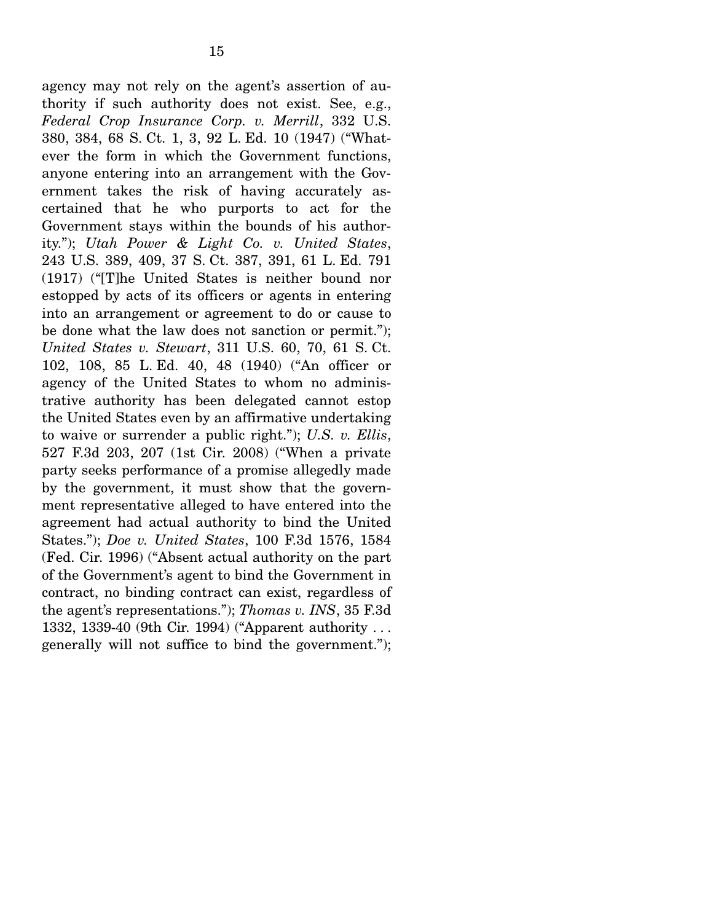agency may not rely on the agent's assertion of authority if such authority does not exist. See, e.g., *Federal Crop Insurance Corp. v. Merrill*, 332 U.S. 380, 384, 68 S. Ct. 1, 3, 92 L. Ed. 10 (1947) ("Whatever the form in which the Government functions, anyone entering into an arrangement with the Government takes the risk of having accurately ascertained that he who purports to act for the Government stays within the bounds of his authority."); *Utah Power & Light Co. v. United States*, 243 U.S. 389, 409, 37 S. Ct. 387, 391, 61 L. Ed. 791 (1917) ("[T]he United States is neither bound nor estopped by acts of its officers or agents in entering into an arrangement or agreement to do or cause to be done what the law does not sanction or permit."); *United States v. Stewart*, 311 U.S. 60, 70, 61 S. Ct. 102, 108, 85 L. Ed. 40, 48 (1940) ("An officer or agency of the United States to whom no administrative authority has been delegated cannot estop the United States even by an affirmative undertaking to waive or surrender a public right."); *U.S. v. Ellis*, 527 F.3d 203, 207 (1st Cir. 2008) ("When a private

party seeks performance of a promise allegedly made by the government, it must show that the government representative alleged to have entered into the agreement had actual authority to bind the United States."); *Doe v. United States*, 100 F.3d 1576, 1584 (Fed. Cir. 1996) ("Absent actual authority on the part of the Government's agent to bind the Government in contract, no binding contract can exist, regardless of the agent's representations."); *Thomas v. INS*, 35 F.3d 1332, 1339-40 (9th Cir. 1994) ("Apparent authority . . . generally will not suffice to bind the government.");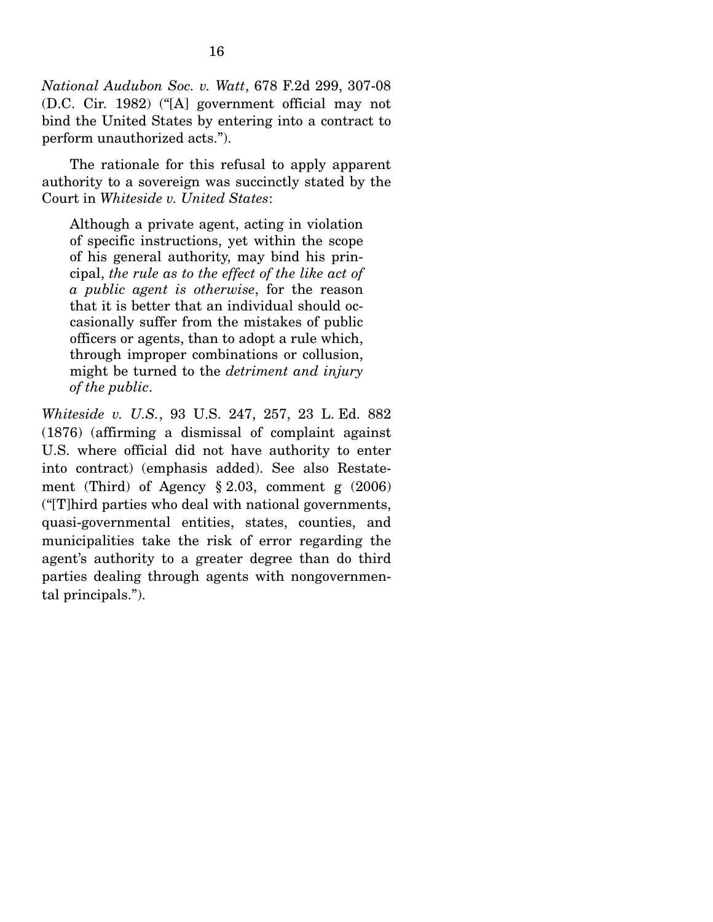*National Audubon Soc. v. Watt*, 678 F.2d 299, 307-08 (D.C. Cir. 1982) ("[A] government official may not bind the United States by entering into a contract to perform unauthorized acts.").

 The rationale for this refusal to apply apparent authority to a sovereign was succinctly stated by the Court in *Whiteside v. United States*:

Although a private agent, acting in violation of specific instructions, yet within the scope of his general authority, may bind his principal, *the rule as to the effect of the like act of a public agent is otherwise*, for the reason that it is better that an individual should occasionally suffer from the mistakes of public officers or agents, than to adopt a rule which, through improper combinations or collusion, might be turned to the *detriment and injury of the public*.

*Whiteside v. U.S.*, 93 U.S. 247, 257, 23 L. Ed. 882 (1876) (affirming a dismissal of complaint against U.S. where official did not have authority to enter into contract) (emphasis added). See also Restatement (Third) of Agency § 2.03, comment g (2006) ("[T]hird parties who deal with national governments, quasi-governmental entities, states, counties, and municipalities take the risk of error regarding the agent's authority to a greater degree than do third parties dealing through agents with nongovernmental principals.").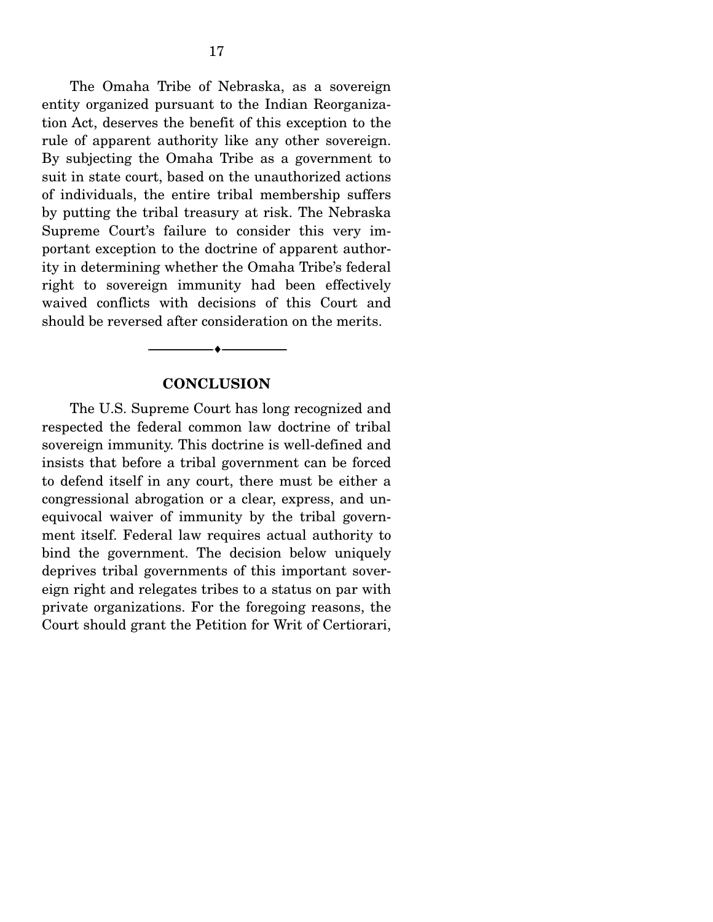The Omaha Tribe of Nebraska, as a sovereign entity organized pursuant to the Indian Reorganization Act, deserves the benefit of this exception to the rule of apparent authority like any other sovereign. By subjecting the Omaha Tribe as a government to suit in state court, based on the unauthorized actions of individuals, the entire tribal membership suffers by putting the tribal treasury at risk. The Nebraska Supreme Court's failure to consider this very important exception to the doctrine of apparent authority in determining whether the Omaha Tribe's federal right to sovereign immunity had been effectively waived conflicts with decisions of this Court and should be reversed after consideration on the merits.

#### **CONCLUSION**

 $\overbrace{\hspace{2.5cm}}$   $\overbrace{\hspace{2.5cm}}$ 

 The U.S. Supreme Court has long recognized and respected the federal common law doctrine of tribal sovereign immunity. This doctrine is well-defined and insists that before a tribal government can be forced to defend itself in any court, there must be either a congressional abrogation or a clear, express, and unequivocal waiver of immunity by the tribal government itself. Federal law requires actual authority to bind the government. The decision below uniquely deprives tribal governments of this important sovereign right and relegates tribes to a status on par with private organizations. For the foregoing reasons, the Court should grant the Petition for Writ of Certiorari,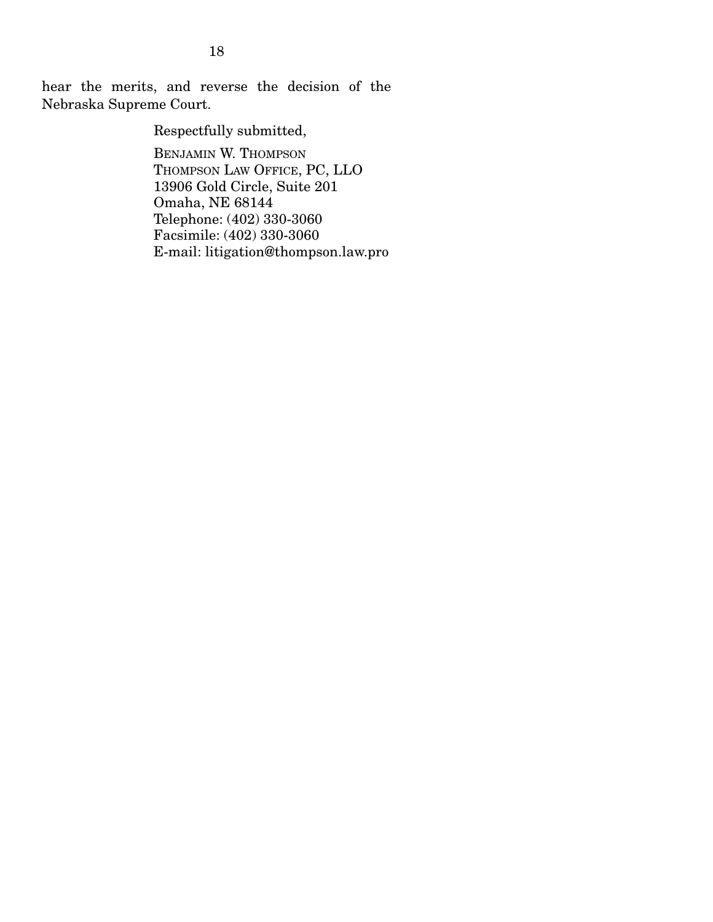hear the merits, and reverse the decision of the Nebraska Supreme Court.

Respectfully submitted,

BENJAMIN W. THOMPSON THOMPSON LAW OFFICE, PC, LLO 13906 Gold Circle, Suite 201 Omaha, NE 68144 Telephone: (402) 330-3060 Facsimile: (402) 330-3060 E-mail: litigation@thompson.law.pro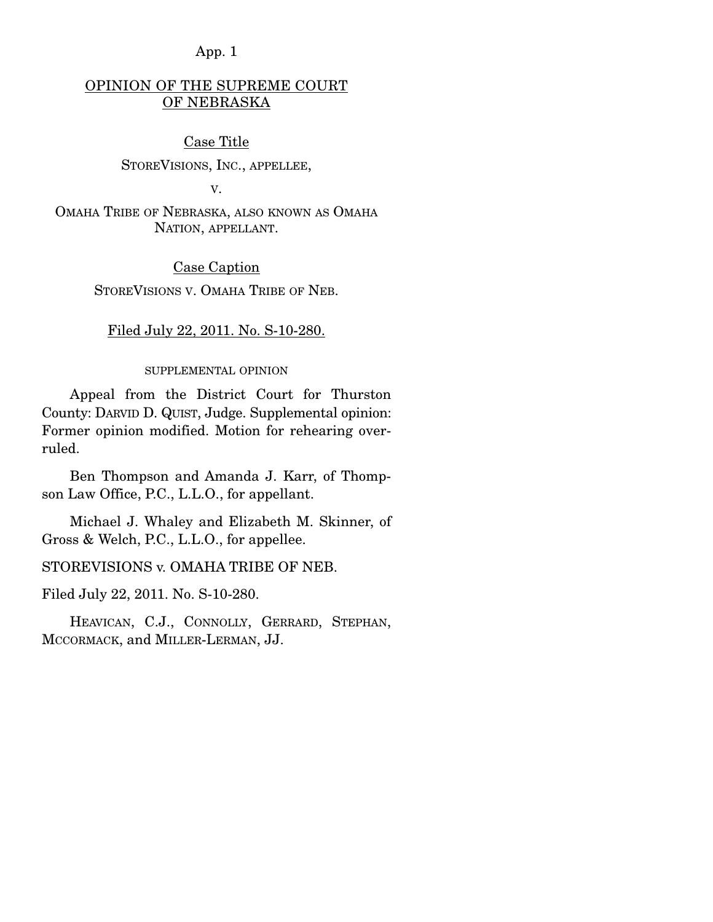## OPINION OF THE SUPREME COURT OF NEBRASKA

#### Case Title

#### STOREVISIONS, INC., APPELLEE,

V.

OMAHA TRIBE OF NEBRASKA, ALSO KNOWN AS OMAHA NATION, APPELLANT.

#### Case Caption

STOREVISIONS V. OMAHA TRIBE OF NEB.

#### Filed July 22, 2011. No. S-10-280.

#### SUPPLEMENTAL OPINION

 Appeal from the District Court for Thurston County: DARVID D. QUIST, Judge. Supplemental opinion: Former opinion modified. Motion for rehearing overruled.

 Ben Thompson and Amanda J. Karr, of Thompson Law Office, P.C., L.L.O., for appellant.

 Michael J. Whaley and Elizabeth M. Skinner, of Gross & Welch, P.C., L.L.O., for appellee.

#### STOREVISIONS v. OMAHA TRIBE OF NEB.

Filed July 22, 2011. No. S-10-280.

 HEAVICAN, C.J., CONNOLLY, GERRARD, STEPHAN, MCCORMACK, and MILLER-LERMAN, JJ.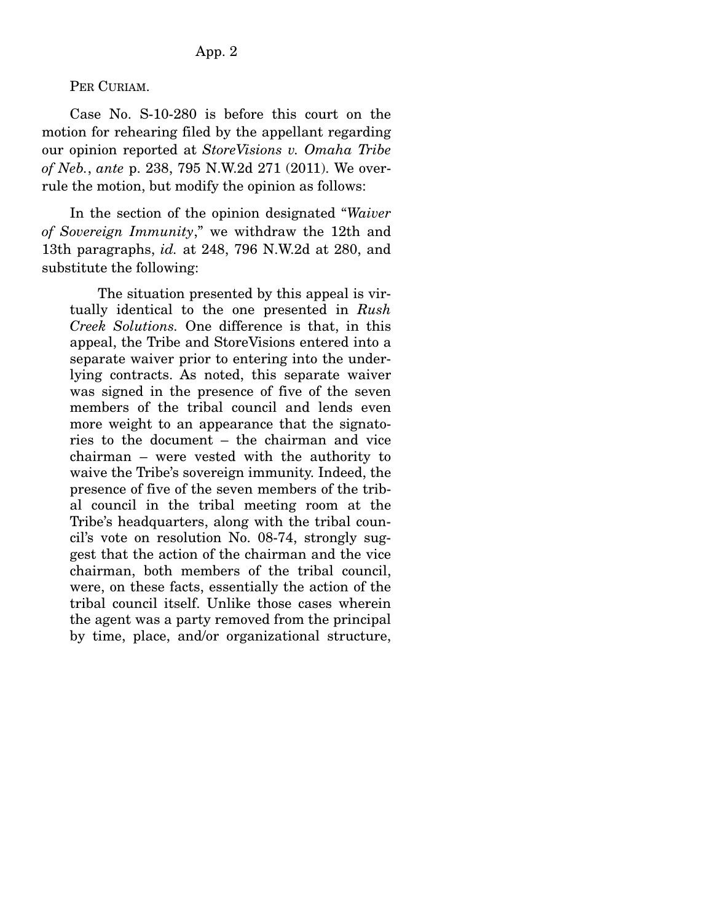PER CURIAM.

 Case No. S-10-280 is before this court on the motion for rehearing filed by the appellant regarding our opinion reported at *StoreVisions v. Omaha Tribe of Neb.*, *ante* p. 238, 795 N.W.2d 271 (2011). We overrule the motion, but modify the opinion as follows:

 In the section of the opinion designated "*Waiver of Sovereign Immunity*," we withdraw the 12th and 13th paragraphs, *id.* at 248, 796 N.W.2d at 280, and substitute the following:

 The situation presented by this appeal is virtually identical to the one presented in *Rush Creek Solutions.* One difference is that, in this appeal, the Tribe and StoreVisions entered into a separate waiver prior to entering into the underlying contracts. As noted, this separate waiver was signed in the presence of five of the seven members of the tribal council and lends even more weight to an appearance that the signatories to the document – the chairman and vice chairman – were vested with the authority to waive the Tribe's sovereign immunity. Indeed, the presence of five of the seven members of the tribal council in the tribal meeting room at the Tribe's headquarters, along with the tribal council's vote on resolution No. 08-74, strongly suggest that the action of the chairman and the vice chairman, both members of the tribal council, were, on these facts, essentially the action of the tribal council itself. Unlike those cases wherein the agent was a party removed from the principal by time, place, and/or organizational structure,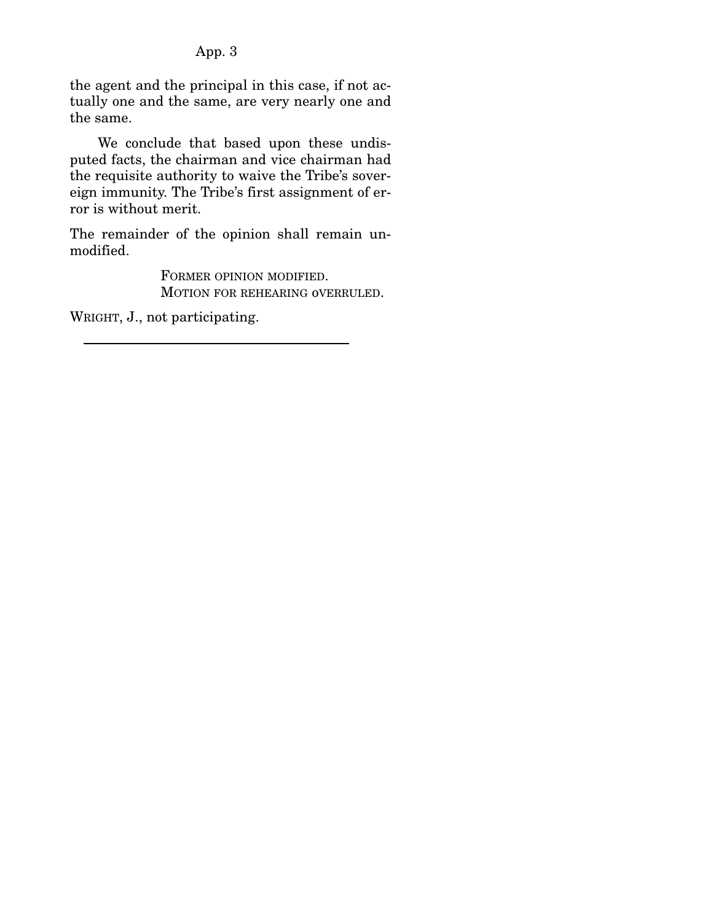the agent and the principal in this case, if not actually one and the same, are very nearly one and the same.

 We conclude that based upon these undisputed facts, the chairman and vice chairman had the requisite authority to waive the Tribe's sovereign immunity. The Tribe's first assignment of error is without merit.

The remainder of the opinion shall remain unmodified.

> FORMER OPINION MODIFIED. MOTION FOR REHEARING oVERRULED.

WRIGHT, J., not participating.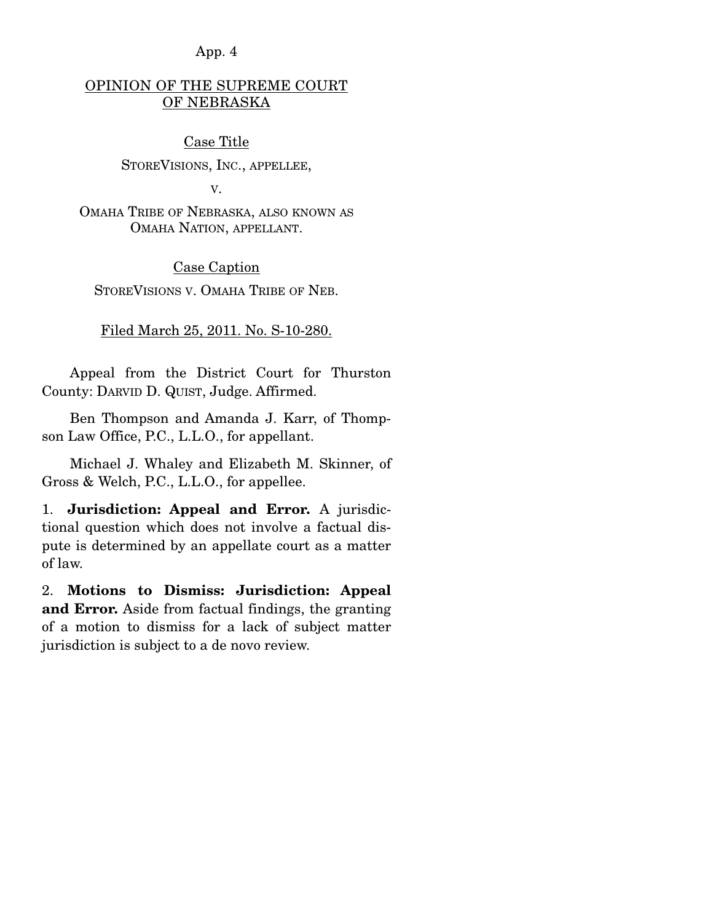## OPINION OF THE SUPREME COURT OF NEBRASKA

#### Case Title

#### STOREVISIONS, INC., APPELLEE,

V.

OMAHA TRIBE OF NEBRASKA, ALSO KNOWN AS OMAHA NATION, APPELLANT.

#### Case Caption

STOREVISIONS V. OMAHA TRIBE OF NEB.

#### Filed March 25, 2011. No. S-10-280.

 Appeal from the District Court for Thurston County: DARVID D. QUIST, Judge. Affirmed.

 Ben Thompson and Amanda J. Karr, of Thompson Law Office, P.C., L.L.O., for appellant.

 Michael J. Whaley and Elizabeth M. Skinner, of Gross & Welch, P.C., L.L.O., for appellee.

1. **Jurisdiction: Appeal and Error.** A jurisdictional question which does not involve a factual dispute is determined by an appellate court as a matter of law.

2. **Motions to Dismiss: Jurisdiction: Appeal and Error.** Aside from factual findings, the granting of a motion to dismiss for a lack of subject matter jurisdiction is subject to a de novo review.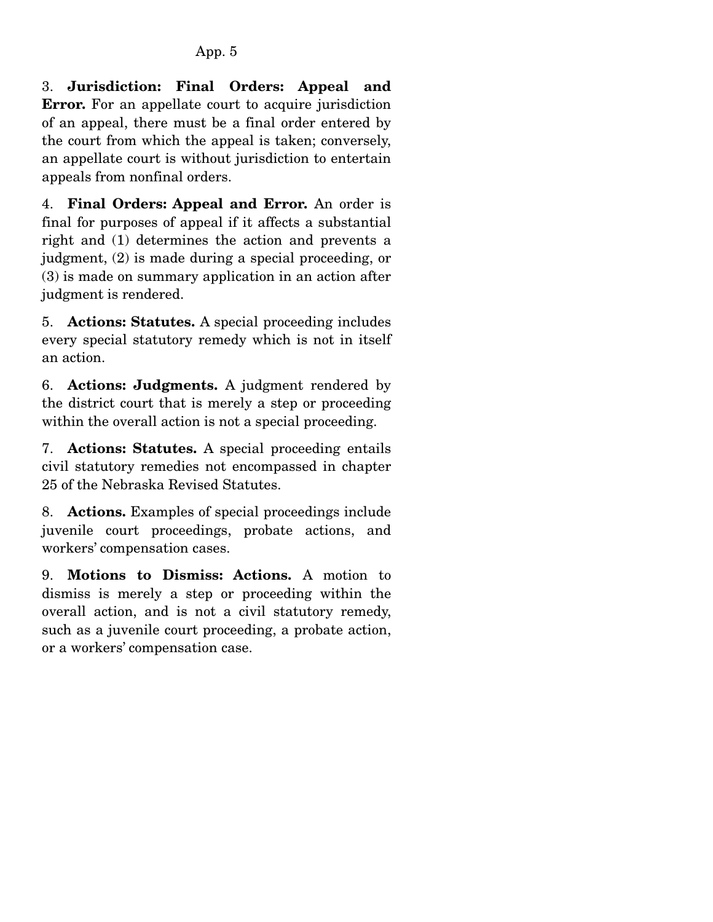3. **Jurisdiction: Final Orders: Appeal and Error.** For an appellate court to acquire jurisdiction of an appeal, there must be a final order entered by the court from which the appeal is taken; conversely, an appellate court is without jurisdiction to entertain appeals from nonfinal orders.

4. **Final Orders: Appeal and Error.** An order is final for purposes of appeal if it affects a substantial right and (1) determines the action and prevents a judgment, (2) is made during a special proceeding, or (3) is made on summary application in an action after judgment is rendered.

5. **Actions: Statutes.** A special proceeding includes every special statutory remedy which is not in itself an action.

6. **Actions: Judgments.** A judgment rendered by the district court that is merely a step or proceeding within the overall action is not a special proceeding.

7. **Actions: Statutes.** A special proceeding entails civil statutory remedies not encompassed in chapter 25 of the Nebraska Revised Statutes.

8. **Actions.** Examples of special proceedings include juvenile court proceedings, probate actions, and workers' compensation cases.

9. **Motions to Dismiss: Actions.** A motion to dismiss is merely a step or proceeding within the overall action, and is not a civil statutory remedy, such as a juvenile court proceeding, a probate action, or a workers' compensation case.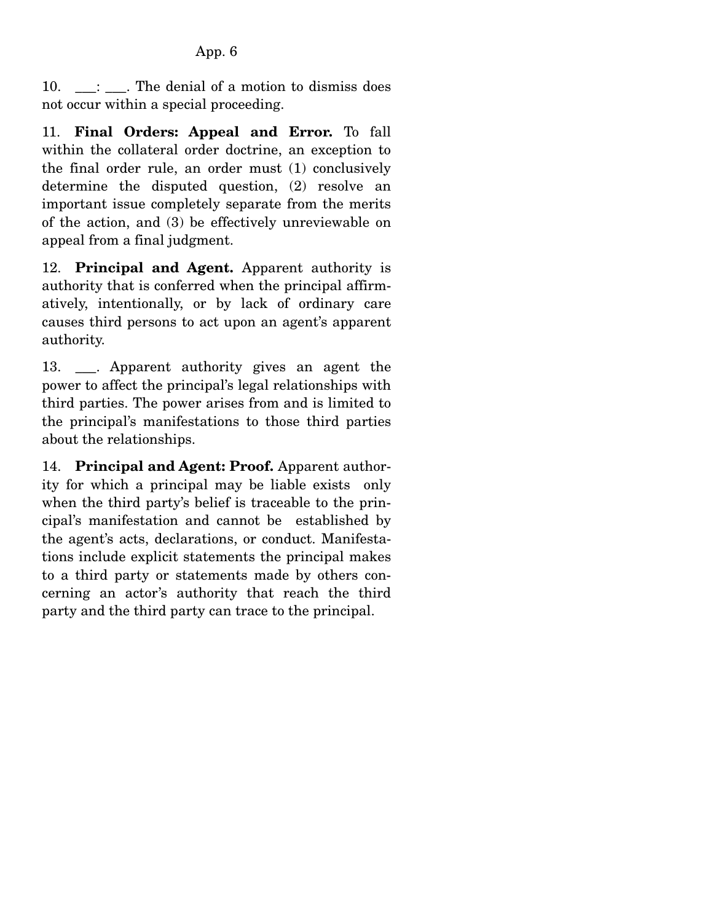$10. \quad \underline{\hspace{1cm}}$ :  $\Box$ . The denial of a motion to dismiss does not occur within a special proceeding.

11. **Final Orders: Appeal and Error.** To fall within the collateral order doctrine, an exception to the final order rule, an order must (1) conclusively determine the disputed question, (2) resolve an important issue completely separate from the merits of the action, and (3) be effectively unreviewable on appeal from a final judgment.

12. **Principal and Agent.** Apparent authority is authority that is conferred when the principal affirmatively, intentionally, or by lack of ordinary care causes third persons to act upon an agent's apparent authority.

13. . Apparent authority gives an agent the power to affect the principal's legal relationships with third parties. The power arises from and is limited to the principal's manifestations to those third parties about the relationships.

14. **Principal and Agent: Proof.** Apparent authority for which a principal may be liable exists only when the third party's belief is traceable to the principal's manifestation and cannot be established by the agent's acts, declarations, or conduct. Manifestations include explicit statements the principal makes to a third party or statements made by others concerning an actor's authority that reach the third party and the third party can trace to the principal.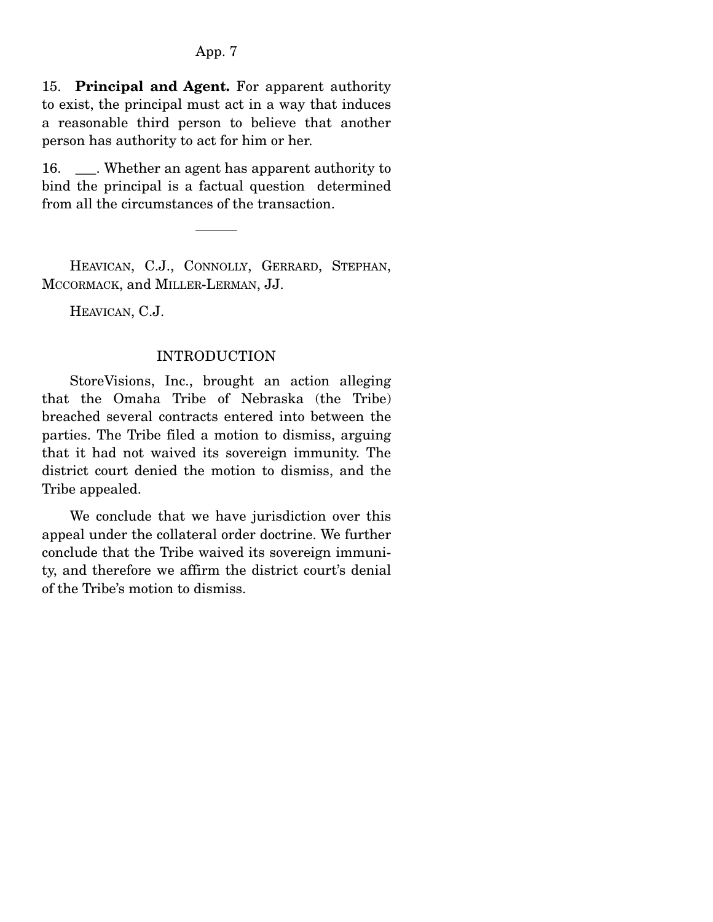15. **Principal and Agent.** For apparent authority to exist, the principal must act in a way that induces a reasonable third person to believe that another person has authority to act for him or her.

16. Whether an agent has apparent authority to bind the principal is a factual question determined from all the circumstances of the transaction.

 HEAVICAN, C.J., CONNOLLY, GERRARD, STEPHAN, MCCORMACK, and MILLER-LERMAN, JJ.

HEAVICAN, C.J.

#### INTRODUCTION

 StoreVisions, Inc., brought an action alleging that the Omaha Tribe of Nebraska (the Tribe) breached several contracts entered into between the parties. The Tribe filed a motion to dismiss, arguing that it had not waived its sovereign immunity. The district court denied the motion to dismiss, and the Tribe appealed.

 We conclude that we have jurisdiction over this appeal under the collateral order doctrine. We further conclude that the Tribe waived its sovereign immunity, and therefore we affirm the district court's denial of the Tribe's motion to dismiss.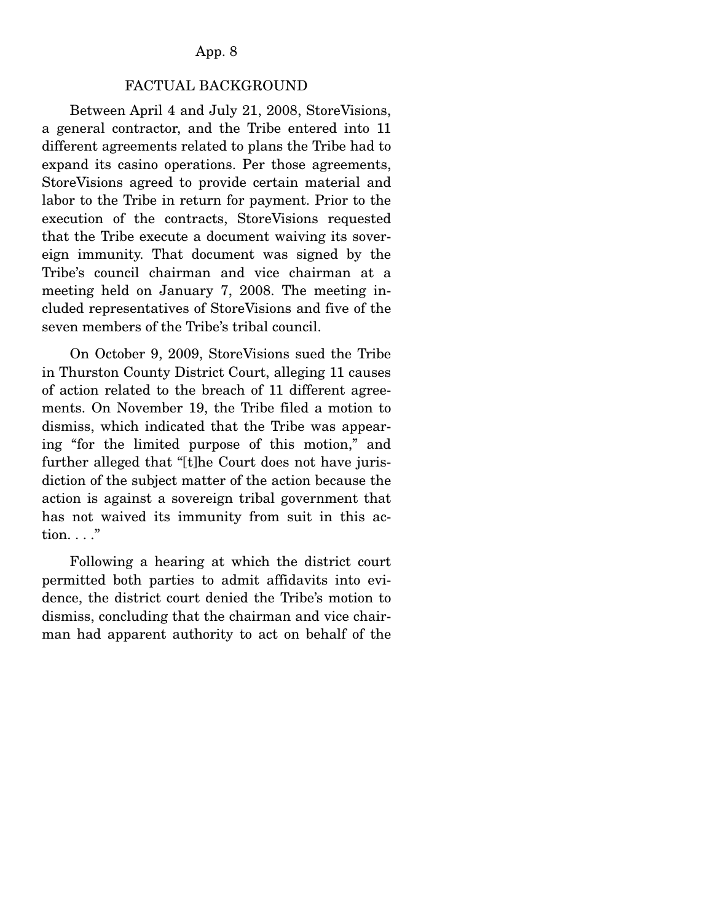#### FACTUAL BACKGROUND

 Between April 4 and July 21, 2008, StoreVisions, a general contractor, and the Tribe entered into 11 different agreements related to plans the Tribe had to expand its casino operations. Per those agreements, StoreVisions agreed to provide certain material and labor to the Tribe in return for payment. Prior to the execution of the contracts, StoreVisions requested that the Tribe execute a document waiving its sovereign immunity. That document was signed by the Tribe's council chairman and vice chairman at a meeting held on January 7, 2008. The meeting included representatives of StoreVisions and five of the seven members of the Tribe's tribal council.

 On October 9, 2009, StoreVisions sued the Tribe in Thurston County District Court, alleging 11 causes of action related to the breach of 11 different agreements. On November 19, the Tribe filed a motion to dismiss, which indicated that the Tribe was appearing "for the limited purpose of this motion," and further alleged that "[t]he Court does not have jurisdiction of the subject matter of the action because the action is against a sovereign tribal government that has not waived its immunity from suit in this action. . . ."

 Following a hearing at which the district court permitted both parties to admit affidavits into evidence, the district court denied the Tribe's motion to dismiss, concluding that the chairman and vice chairman had apparent authority to act on behalf of the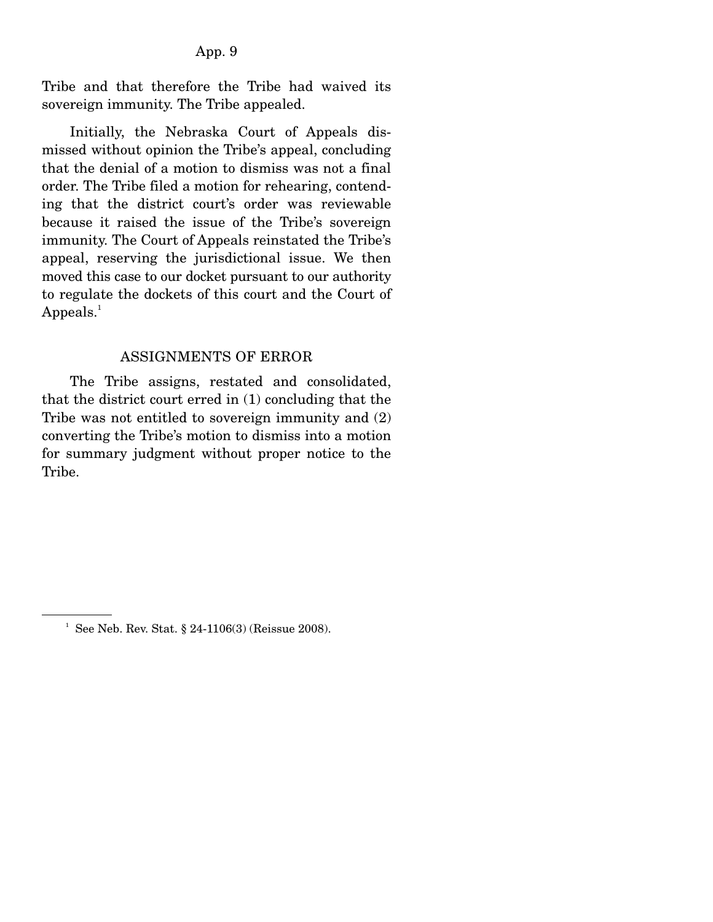Tribe and that therefore the Tribe had waived its sovereign immunity. The Tribe appealed.

 Initially, the Nebraska Court of Appeals dismissed without opinion the Tribe's appeal, concluding that the denial of a motion to dismiss was not a final order. The Tribe filed a motion for rehearing, contending that the district court's order was reviewable because it raised the issue of the Tribe's sovereign immunity. The Court of Appeals reinstated the Tribe's appeal, reserving the jurisdictional issue. We then moved this case to our docket pursuant to our authority to regulate the dockets of this court and the Court of  $Appeals.<sup>1</sup>$ 

#### ASSIGNMENTS OF ERROR

 The Tribe assigns, restated and consolidated, that the district court erred in (1) concluding that the Tribe was not entitled to sovereign immunity and (2) converting the Tribe's motion to dismiss into a motion for summary judgment without proper notice to the Tribe.

<sup>&</sup>lt;sup>1</sup> See Neb. Rev. Stat. § 24-1106(3) (Reissue 2008).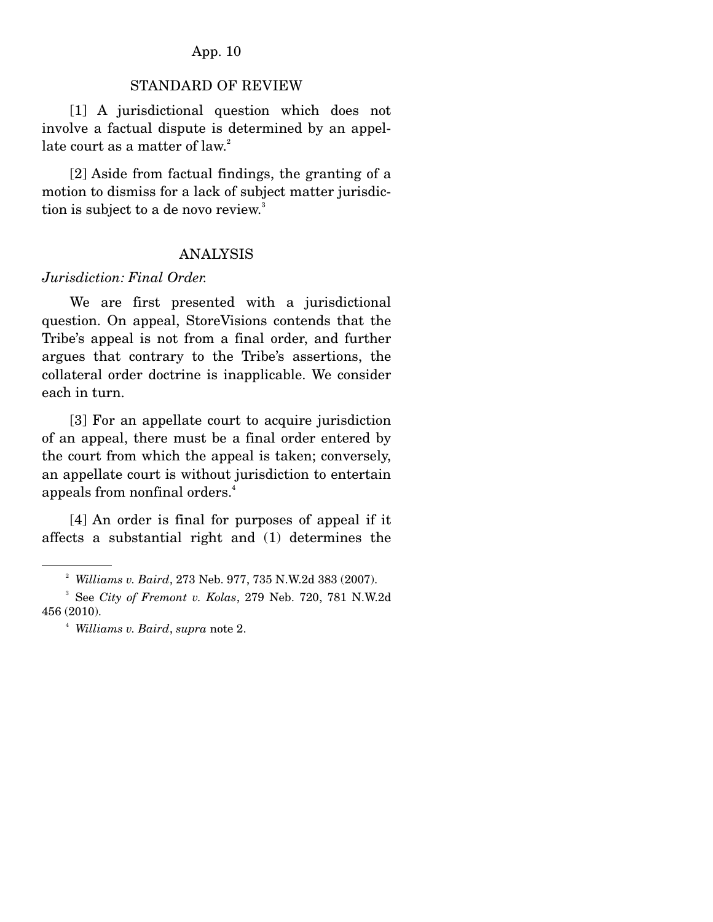#### STANDARD OF REVIEW

 [1] A jurisdictional question which does not involve a factual dispute is determined by an appellate court as a matter of law.<sup>2</sup>

 [2] Aside from factual findings, the granting of a motion to dismiss for a lack of subject matter jurisdiction is subject to a de novo review.<sup>3</sup>

#### ANALYSIS

#### *Jurisdiction: Final Order.*

We are first presented with a jurisdictional question. On appeal, StoreVisions contends that the Tribe's appeal is not from a final order, and further argues that contrary to the Tribe's assertions, the collateral order doctrine is inapplicable. We consider each in turn.

 [3] For an appellate court to acquire jurisdiction of an appeal, there must be a final order entered by the court from which the appeal is taken; conversely, an appellate court is without jurisdiction to entertain appeals from nonfinal orders.4

 [4] An order is final for purposes of appeal if it affects a substantial right and (1) determines the

<sup>2</sup> *Williams v. Baird*, 273 Neb. 977, 735 N.W.2d 383 (2007).

<sup>3</sup> See *City of Fremont v. Kolas*, 279 Neb. 720, 781 N.W.2d 456 (2010).

<sup>4</sup> *Williams v. Baird*, *supra* note 2.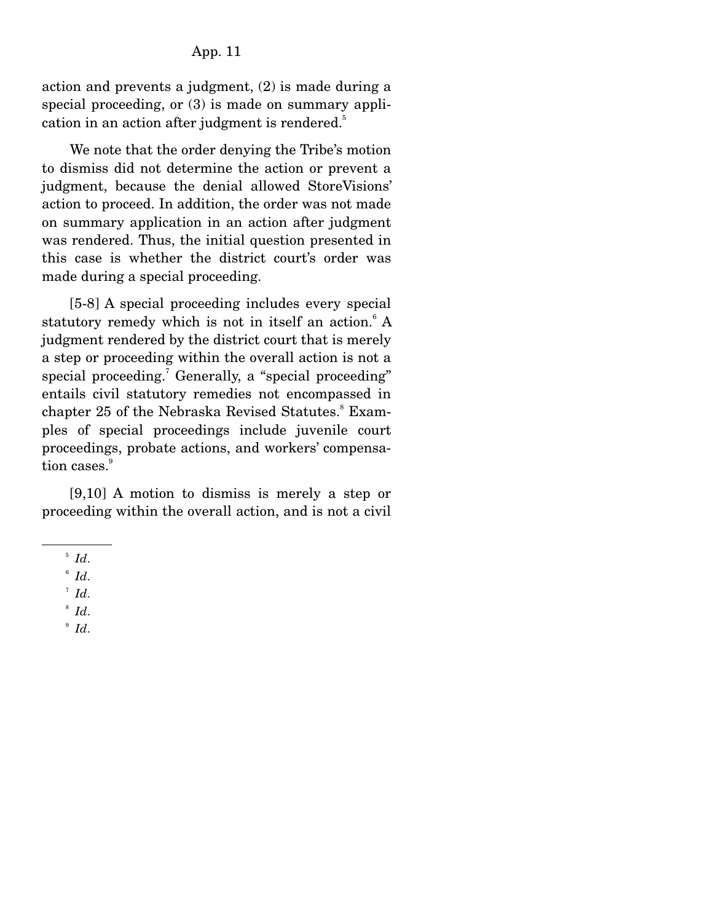action and prevents a judgment, (2) is made during a special proceeding, or (3) is made on summary application in an action after judgment is rendered.<sup>5</sup>

 We note that the order denying the Tribe's motion to dismiss did not determine the action or prevent a judgment, because the denial allowed StoreVisions' action to proceed. In addition, the order was not made on summary application in an action after judgment was rendered. Thus, the initial question presented in this case is whether the district court's order was made during a special proceeding.

 [5-8] A special proceeding includes every special statutory remedy which is not in itself an action.<sup>6</sup> A judgment rendered by the district court that is merely a step or proceeding within the overall action is not a special proceeding.<sup>7</sup> Generally, a "special proceeding" entails civil statutory remedies not encompassed in chapter 25 of the Nebraska Revised Statutes.<sup>8</sup> Examples of special proceedings include juvenile court proceedings, probate actions, and workers' compensation cases.<sup>9</sup>

 [9,10] A motion to dismiss is merely a step or proceeding within the overall action, and is not a civil

 $\degree$  *Id*.

 $\int_{6}^{5}$  *Id*.

 $^7$  *Id.* 

 $\delta$  *Id.*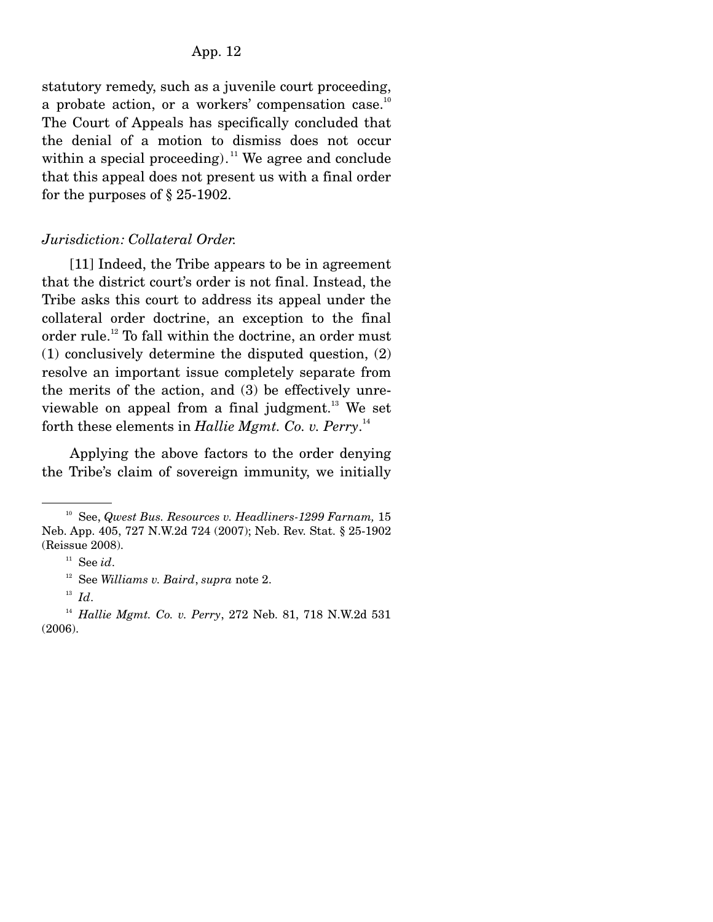statutory remedy, such as a juvenile court proceeding, a probate action, or a workers' compensation case.<sup>10</sup> The Court of Appeals has specifically concluded that the denial of a motion to dismiss does not occur within a special proceeding).<sup>11</sup> We agree and conclude that this appeal does not present us with a final order for the purposes of § 25-1902.

#### *Jurisdiction: Collateral Order.*

[11] Indeed, the Tribe appears to be in agreement that the district court's order is not final. Instead, the Tribe asks this court to address its appeal under the collateral order doctrine, an exception to the final order rule.<sup>12</sup> To fall within the doctrine, an order must (1) conclusively determine the disputed question, (2) resolve an important issue completely separate from the merits of the action, and (3) be effectively unreviewable on appeal from a final judgment.<sup>13</sup> We set forth these elements in *Hallie Mgmt. Co. v. Perry*. 14

 Applying the above factors to the order denying the Tribe's claim of sovereign immunity, we initially

<sup>10</sup> See, *Qwest Bus. Resources v. Headliners-1299 Farnam,* 15 Neb. App. 405, 727 N.W.2d 724 (2007); Neb. Rev. Stat. § 25-1902 (Reissue 2008).

<sup>&</sup>lt;sup>11</sup> See *id*.<br><sup>12</sup> See *Williams v. Baird*, *supra* note 2.

<sup>13</sup> *Id*.

<sup>14</sup> *Hallie Mgmt. Co. v. Perry*, 272 Neb. 81, 718 N.W.2d 531 (2006).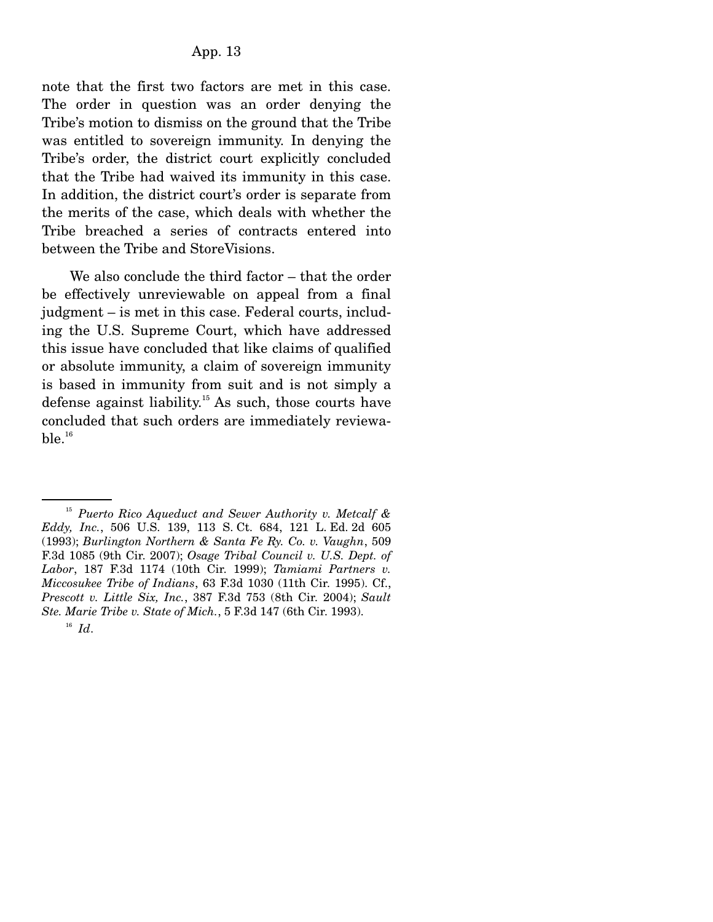note that the first two factors are met in this case. The order in question was an order denying the Tribe's motion to dismiss on the ground that the Tribe was entitled to sovereign immunity. In denying the Tribe's order, the district court explicitly concluded that the Tribe had waived its immunity in this case. In addition, the district court's order is separate from the merits of the case, which deals with whether the Tribe breached a series of contracts entered into between the Tribe and StoreVisions.

 We also conclude the third factor – that the order be effectively unreviewable on appeal from a final judgment – is met in this case. Federal courts, including the U.S. Supreme Court, which have addressed this issue have concluded that like claims of qualified or absolute immunity, a claim of sovereign immunity is based in immunity from suit and is not simply a defense against liability.<sup>15</sup> As such, those courts have concluded that such orders are immediately reviewa $ble.$ <sup>16</sup>

<sup>15</sup> *Puerto Rico Aqueduct and Sewer Authority v. Metcalf & Eddy, Inc.*, 506 U.S. 139, 113 S. Ct. 684, 121 L. Ed. 2d 605 (1993); *Burlington Northern & Santa Fe Ry. Co. v. Vaughn*, 509 F.3d 1085 (9th Cir. 2007); *Osage Tribal Council v. U.S. Dept. of Labor*, 187 F.3d 1174 (10th Cir. 1999); *Tamiami Partners v. Miccosukee Tribe of Indians*, 63 F.3d 1030 (11th Cir. 1995). Cf., *Prescott v. Little Six, Inc.*, 387 F.3d 753 (8th Cir. 2004); *Sault Ste. Marie Tribe v. State of Mich.*, 5 F.3d 147 (6th Cir. 1993).

<sup>16</sup> *Id*.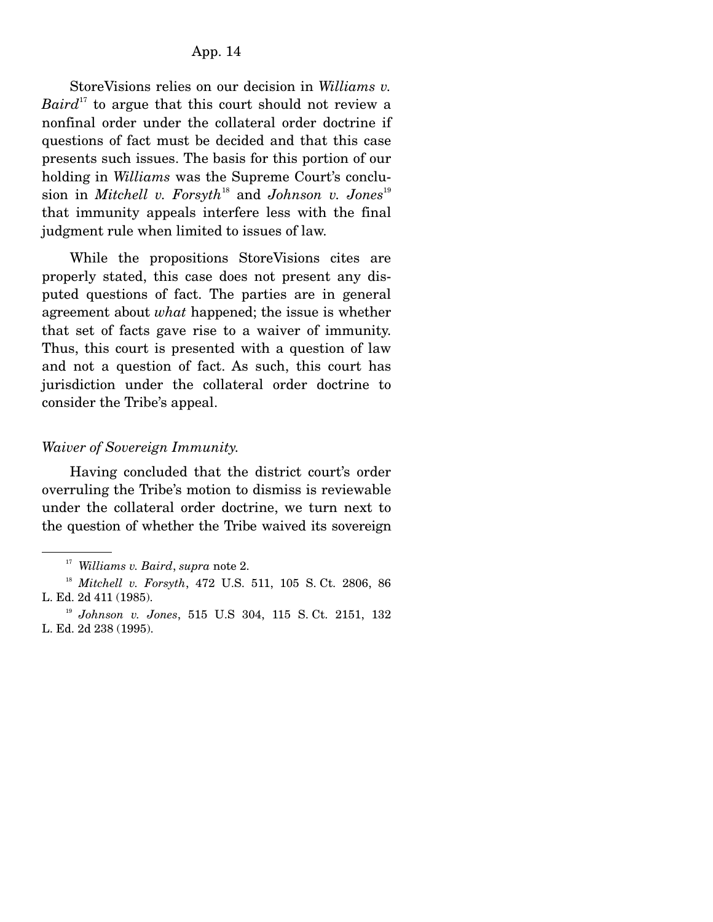StoreVisions relies on our decision in *Williams v. Baird*<sup>17</sup> to argue that this court should not review a nonfinal order under the collateral order doctrine if questions of fact must be decided and that this case presents such issues. The basis for this portion of our holding in *Williams* was the Supreme Court's conclusion in *Mitchell v. Forsyth*<sup>18</sup> and *Johnson v. Jones*<sup>19</sup> that immunity appeals interfere less with the final judgment rule when limited to issues of law.

 While the propositions StoreVisions cites are properly stated, this case does not present any disputed questions of fact. The parties are in general agreement about *what* happened; the issue is whether that set of facts gave rise to a waiver of immunity. Thus, this court is presented with a question of law and not a question of fact. As such, this court has jurisdiction under the collateral order doctrine to consider the Tribe's appeal.

#### *Waiver of Sovereign Immunity.*

Having concluded that the district court's order overruling the Tribe's motion to dismiss is reviewable under the collateral order doctrine, we turn next to the question of whether the Tribe waived its sovereign

<sup>&</sup>lt;sup>17</sup> *Williams v. Baird, supra note 2.* 18 *Mitchell v. Forsyth, 472 U.S. 511, 105 S. Ct. 2806, 86* L. Ed. 2d 411 (1985).

<sup>19</sup> *Johnson v. Jones*, 515 U.S 304, 115 S. Ct. 2151, 132 L. Ed. 2d 238 (1995).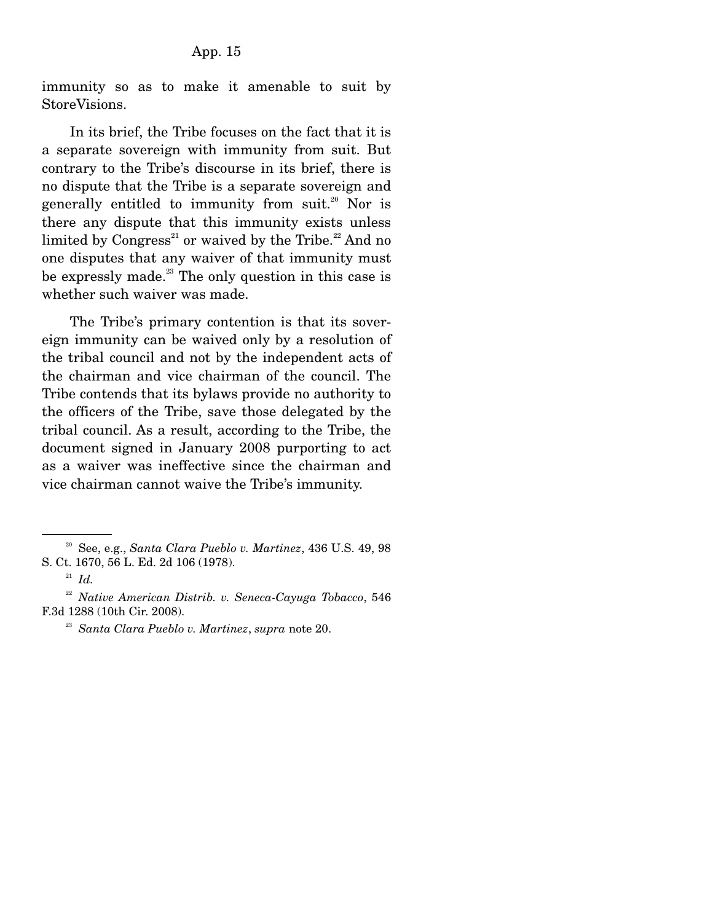immunity so as to make it amenable to suit by StoreVisions.

 In its brief, the Tribe focuses on the fact that it is a separate sovereign with immunity from suit. But contrary to the Tribe's discourse in its brief, there is no dispute that the Tribe is a separate sovereign and generally entitled to immunity from  $suit<sup>20</sup>$  Nor is there any dispute that this immunity exists unless limited by  $Congress<sup>21</sup>$  or waived by the Tribe.<sup>22</sup> And no one disputes that any waiver of that immunity must be expressly made.<sup>23</sup> The only question in this case is whether such waiver was made.

 The Tribe's primary contention is that its sovereign immunity can be waived only by a resolution of the tribal council and not by the independent acts of the chairman and vice chairman of the council. The Tribe contends that its bylaws provide no authority to the officers of the Tribe, save those delegated by the tribal council. As a result, according to the Tribe, the document signed in January 2008 purporting to act as a waiver was ineffective since the chairman and vice chairman cannot waive the Tribe's immunity.

<sup>20</sup> See, e.g., *Santa Clara Pueblo v. Martinez*, 436 U.S. 49, 98 S. Ct. 1670, 56 L. Ed. 2d 106 (1978). 21 *Id.*

<sup>22</sup> *Native American Distrib. v. Seneca-Cayuga Tobacco*, 546 F.3d 1288 (10th Cir. 2008).

<sup>23</sup> *Santa Clara Pueblo v. Martinez*, *supra* note 20.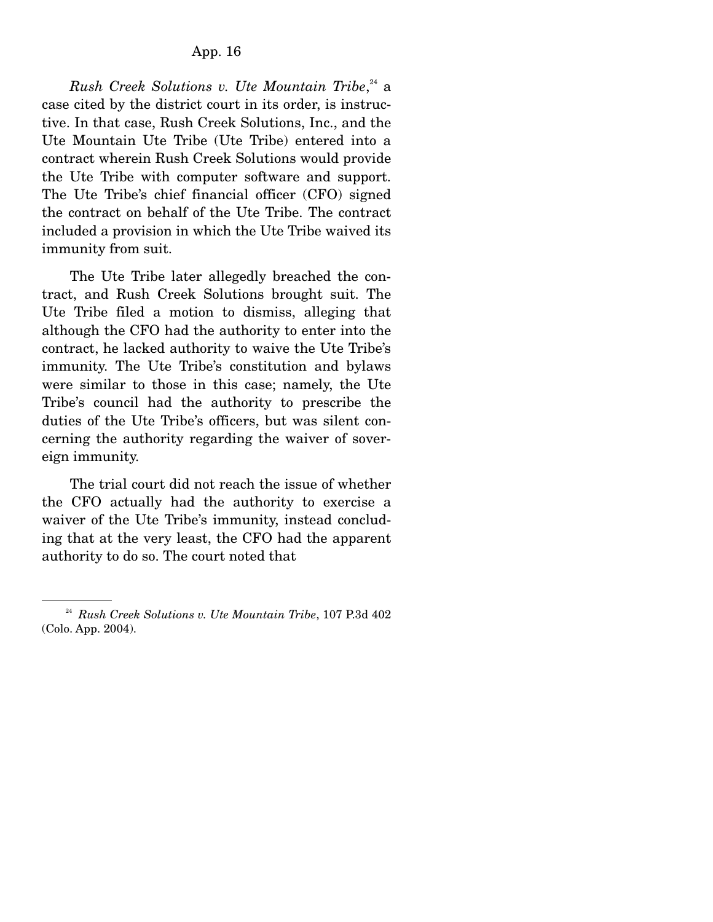*Rush Creek Solutions v. Ute Mountain Tribe*, 24 a case cited by the district court in its order, is instructive. In that case, Rush Creek Solutions, Inc., and the Ute Mountain Ute Tribe (Ute Tribe) entered into a contract wherein Rush Creek Solutions would provide the Ute Tribe with computer software and support. The Ute Tribe's chief financial officer (CFO) signed the contract on behalf of the Ute Tribe. The contract included a provision in which the Ute Tribe waived its immunity from suit.

 The Ute Tribe later allegedly breached the contract, and Rush Creek Solutions brought suit. The Ute Tribe filed a motion to dismiss, alleging that although the CFO had the authority to enter into the contract, he lacked authority to waive the Ute Tribe's immunity. The Ute Tribe's constitution and bylaws were similar to those in this case; namely, the Ute Tribe's council had the authority to prescribe the duties of the Ute Tribe's officers, but was silent concerning the authority regarding the waiver of sovereign immunity.

 The trial court did not reach the issue of whether the CFO actually had the authority to exercise a waiver of the Ute Tribe's immunity, instead concluding that at the very least, the CFO had the apparent authority to do so. The court noted that

<sup>24</sup> *Rush Creek Solutions v. Ute Mountain Tribe*, 107 P.3d 402 (Colo. App. 2004).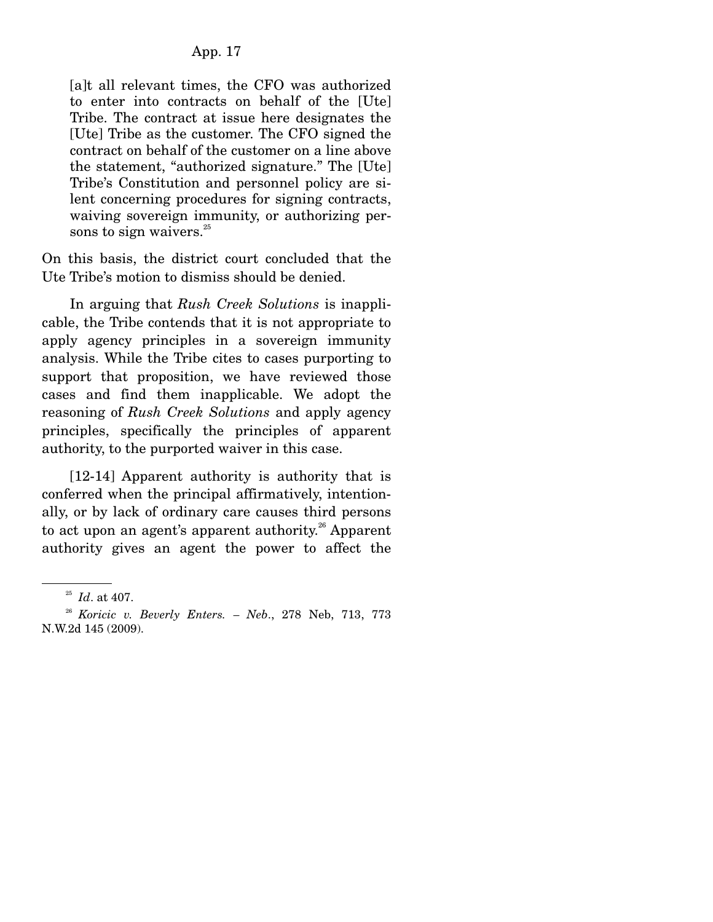[a]t all relevant times, the CFO was authorized to enter into contracts on behalf of the [Ute] Tribe. The contract at issue here designates the [Ute] Tribe as the customer. The CFO signed the contract on behalf of the customer on a line above the statement, "authorized signature." The [Ute] Tribe's Constitution and personnel policy are silent concerning procedures for signing contracts, waiving sovereign immunity, or authorizing persons to sign waivers. $25$ 

On this basis, the district court concluded that the Ute Tribe's motion to dismiss should be denied.

 In arguing that *Rush Creek Solutions* is inapplicable, the Tribe contends that it is not appropriate to apply agency principles in a sovereign immunity analysis. While the Tribe cites to cases purporting to support that proposition, we have reviewed those cases and find them inapplicable. We adopt the reasoning of *Rush Creek Solutions* and apply agency principles, specifically the principles of apparent authority, to the purported waiver in this case.

 [12-14] Apparent authority is authority that is conferred when the principal affirmatively, intentionally, or by lack of ordinary care causes third persons to act upon an agent's apparent authority.<sup>26</sup> Apparent authority gives an agent the power to affect the

<sup>25</sup> *Id*. at 407.

<sup>26</sup> *Koricic v. Beverly Enters. – Neb*., 278 Neb, 713, 773 N.W.2d 145 (2009).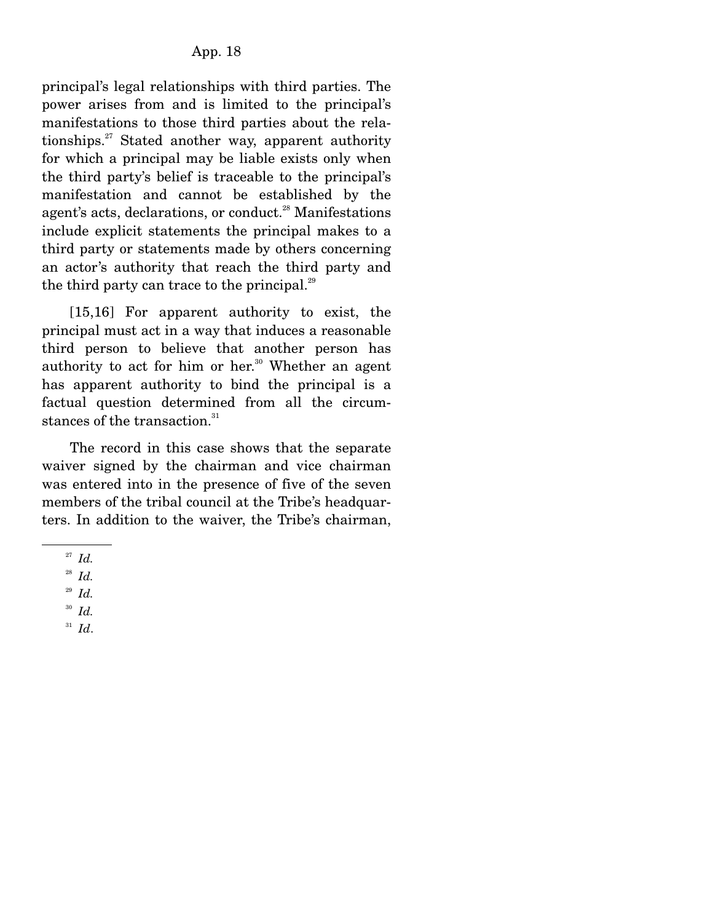principal's legal relationships with third parties. The power arises from and is limited to the principal's manifestations to those third parties about the relationships. $27$  Stated another way, apparent authority for which a principal may be liable exists only when the third party's belief is traceable to the principal's manifestation and cannot be established by the agent's acts, declarations, or conduct.<sup>28</sup> Manifestations include explicit statements the principal makes to a third party or statements made by others concerning an actor's authority that reach the third party and the third party can trace to the principal. $^{29}$ 

 [15,16] For apparent authority to exist, the principal must act in a way that induces a reasonable third person to believe that another person has authority to act for him or her.<sup>30</sup> Whether an agent has apparent authority to bind the principal is a factual question determined from all the circumstances of the transaction.<sup>31</sup>

 The record in this case shows that the separate waiver signed by the chairman and vice chairman was entered into in the presence of five of the seven members of the tribal council at the Tribe's headquarters. In addition to the waiver, the Tribe's chairman,

<sup>31</sup> *Id*.

<sup>27</sup> *Id.*

<sup>28</sup> *Id.*

<sup>29</sup> *Id.*

<sup>30</sup> *Id.*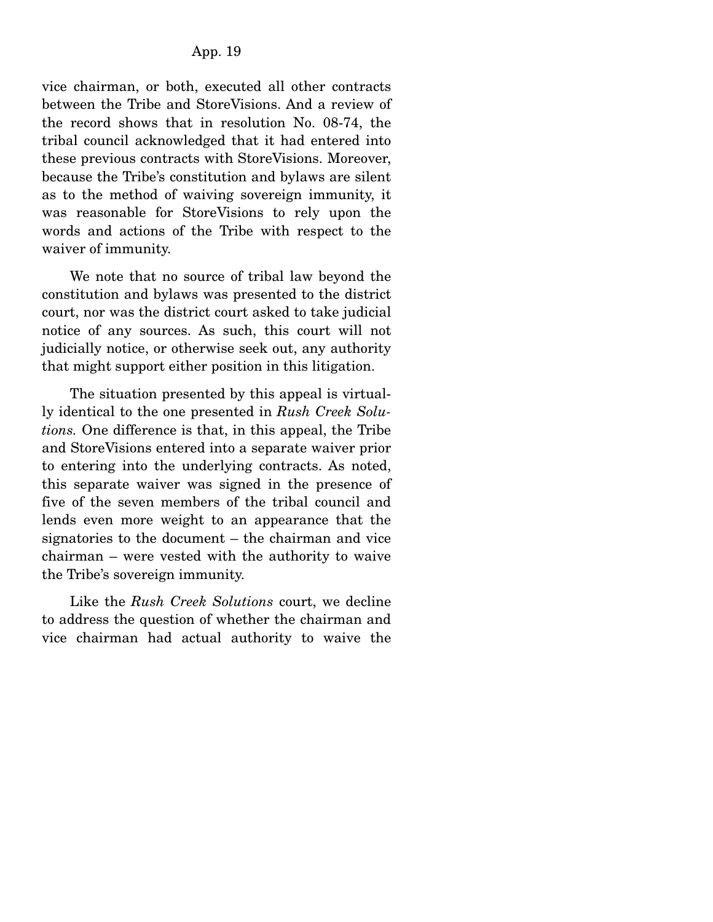vice chairman, or both, executed all other contracts between the Tribe and StoreVisions. And a review of the record shows that in resolution No. 08-74, the tribal council acknowledged that it had entered into these previous contracts with StoreVisions. Moreover, because the Tribe's constitution and bylaws are silent as to the method of waiving sovereign immunity, it was reasonable for StoreVisions to rely upon the words and actions of the Tribe with respect to the waiver of immunity.

 We note that no source of tribal law beyond the constitution and bylaws was presented to the district court, nor was the district court asked to take judicial notice of any sources. As such, this court will not judicially notice, or otherwise seek out, any authority that might support either position in this litigation.

 The situation presented by this appeal is virtually identical to the one presented in *Rush Creek Solutions.* One difference is that, in this appeal, the Tribe and StoreVisions entered into a separate waiver prior to entering into the underlying contracts. As noted, this separate waiver was signed in the presence of five of the seven members of the tribal council and lends even more weight to an appearance that the signatories to the document – the chairman and vice chairman – were vested with the authority to waive the Tribe's sovereign immunity.

 Like the *Rush Creek Solutions* court, we decline to address the question of whether the chairman and vice chairman had actual authority to waive the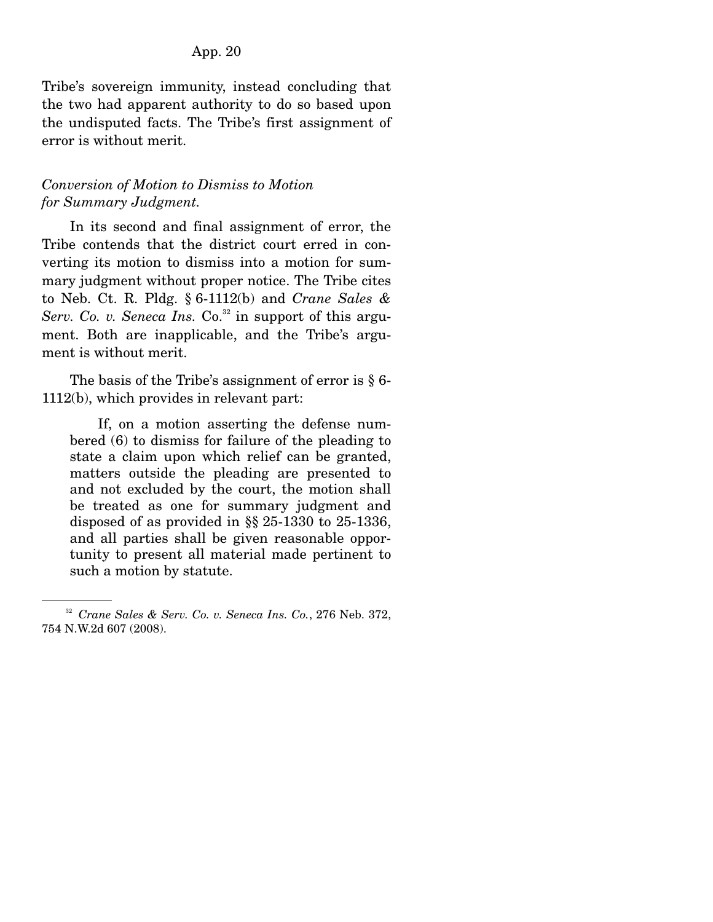Tribe's sovereign immunity, instead concluding that the two had apparent authority to do so based upon the undisputed facts. The Tribe's first assignment of error is without merit.

### *Conversion of Motion to Dismiss to Motion for Summary Judgment.*

In its second and final assignment of error, the Tribe contends that the district court erred in converting its motion to dismiss into a motion for summary judgment without proper notice. The Tribe cites to Neb. Ct. R. Pldg. § 6-1112(b) and *Crane Sales & Serv. Co. v. Seneca Ins.* Co.<sup>32</sup> in support of this argument. Both are inapplicable, and the Tribe's argument is without merit.

 The basis of the Tribe's assignment of error is § 6- 1112(b), which provides in relevant part:

 If, on a motion asserting the defense numbered (6) to dismiss for failure of the pleading to state a claim upon which relief can be granted, matters outside the pleading are presented to and not excluded by the court, the motion shall be treated as one for summary judgment and disposed of as provided in §§ 25-1330 to 25-1336, and all parties shall be given reasonable opportunity to present all material made pertinent to such a motion by statute.

<sup>32</sup> *Crane Sales & Serv. Co. v. Seneca Ins. Co.*, 276 Neb. 372, 754 N.W.2d 607 (2008).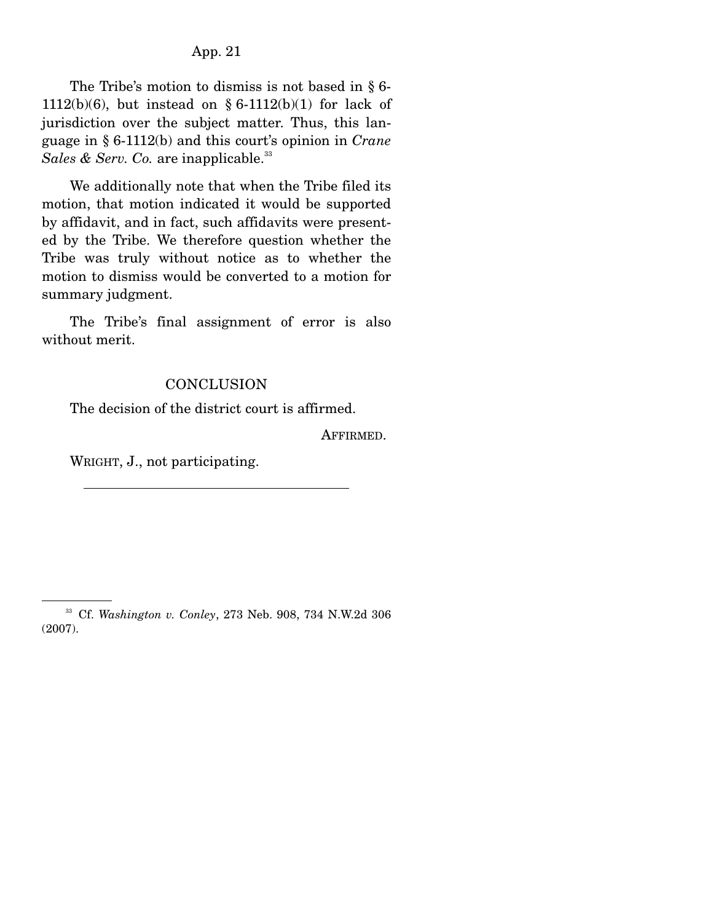The Tribe's motion to dismiss is not based in § 6-  $1112(b)(6)$ , but instead on § 6-1112(b)(1) for lack of jurisdiction over the subject matter. Thus, this language in § 6-1112(b) and this court's opinion in *Crane Sales & Serv. Co.* are inapplicable.<sup>33</sup>

 We additionally note that when the Tribe filed its motion, that motion indicated it would be supported by affidavit, and in fact, such affidavits were presented by the Tribe. We therefore question whether the Tribe was truly without notice as to whether the motion to dismiss would be converted to a motion for summary judgment.

 The Tribe's final assignment of error is also without merit.

#### **CONCLUSION**

The decision of the district court is affirmed.

AFFIRMED.

WRIGHT, J., not participating.

<sup>33</sup> Cf. *Washington v. Conley*, 273 Neb. 908, 734 N.W.2d 306 (2007).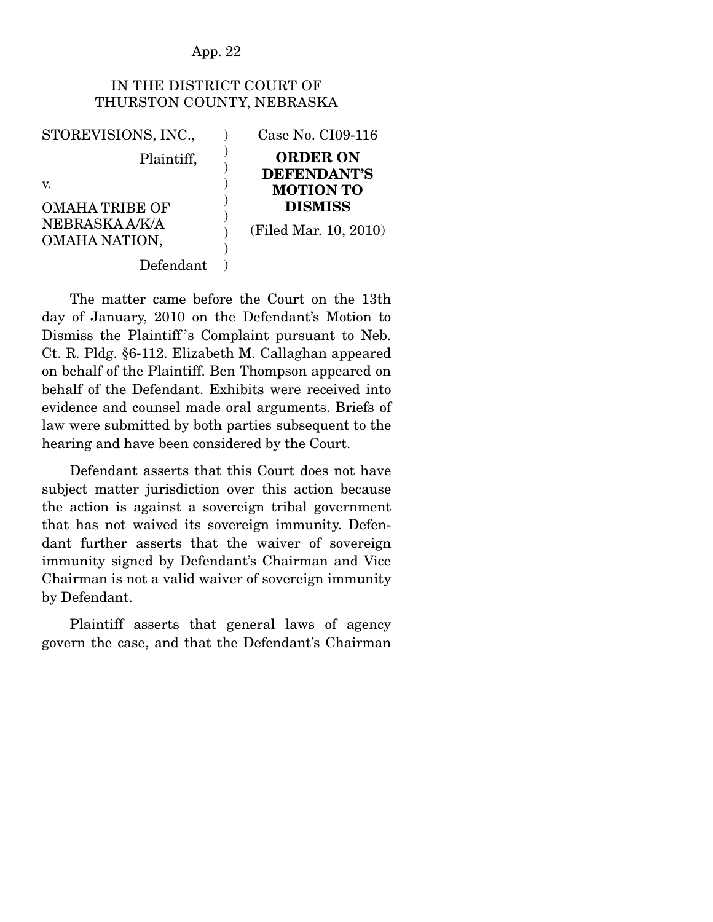## IN THE DISTRICT COURT OF THURSTON COUNTY, NEBRASKA

STOREVISIONS, INC., Plaintiff, v. OMAHA TRIBE OF NEBRASKA A/K/A OMAHA NATION, Defendant ) ) ) ) ) ) ) )  $\lambda$ Case No. CI09-116 **ORDER ON DEFENDANT'S MOTION TO DISMISS**  (Filed Mar. 10, 2010)

The matter came before the Court on the 13th day of January, 2010 on the Defendant's Motion to Dismiss the Plaintiff 's Complaint pursuant to Neb. Ct. R. Pldg. §6-112. Elizabeth M. Callaghan appeared on behalf of the Plaintiff. Ben Thompson appeared on behalf of the Defendant. Exhibits were received into evidence and counsel made oral arguments. Briefs of law were submitted by both parties subsequent to the hearing and have been considered by the Court.

 Defendant asserts that this Court does not have subject matter jurisdiction over this action because the action is against a sovereign tribal government that has not waived its sovereign immunity. Defendant further asserts that the waiver of sovereign immunity signed by Defendant's Chairman and Vice Chairman is not a valid waiver of sovereign immunity by Defendant.

 Plaintiff asserts that general laws of agency govern the case, and that the Defendant's Chairman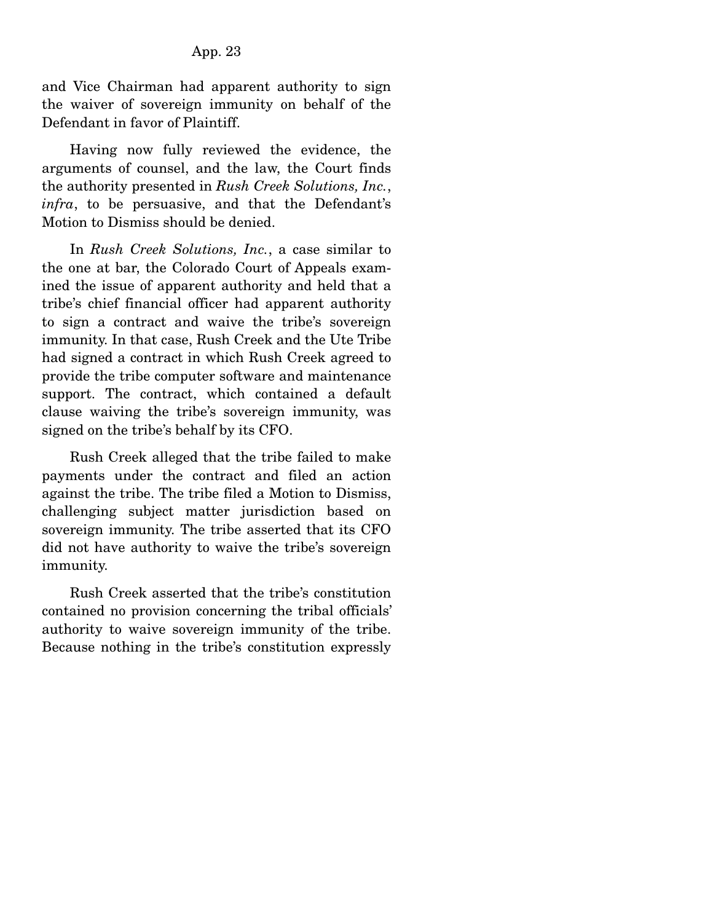and Vice Chairman had apparent authority to sign the waiver of sovereign immunity on behalf of the Defendant in favor of Plaintiff.

 Having now fully reviewed the evidence, the arguments of counsel, and the law, the Court finds the authority presented in *Rush Creek Solutions, Inc.*, *infra*, to be persuasive, and that the Defendant's Motion to Dismiss should be denied.

 In *Rush Creek Solutions, Inc.*, a case similar to the one at bar, the Colorado Court of Appeals examined the issue of apparent authority and held that a tribe's chief financial officer had apparent authority to sign a contract and waive the tribe's sovereign immunity. In that case, Rush Creek and the Ute Tribe had signed a contract in which Rush Creek agreed to provide the tribe computer software and maintenance support. The contract, which contained a default clause waiving the tribe's sovereign immunity, was signed on the tribe's behalf by its CFO.

 Rush Creek alleged that the tribe failed to make payments under the contract and filed an action against the tribe. The tribe filed a Motion to Dismiss, challenging subject matter jurisdiction based on sovereign immunity. The tribe asserted that its CFO did not have authority to waive the tribe's sovereign immunity.

 Rush Creek asserted that the tribe's constitution contained no provision concerning the tribal officials' authority to waive sovereign immunity of the tribe. Because nothing in the tribe's constitution expressly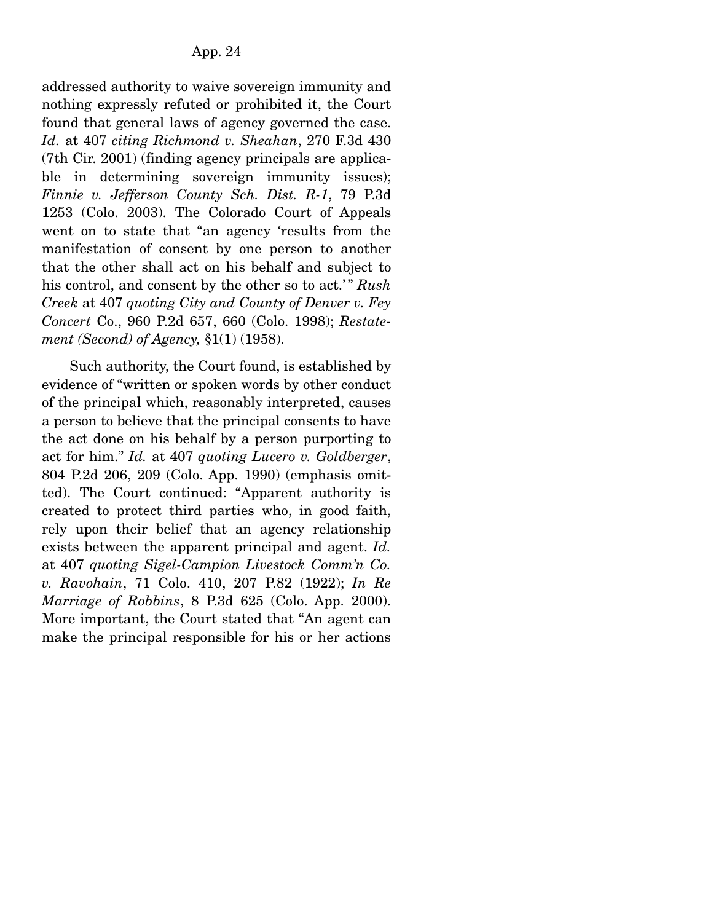addressed authority to waive sovereign immunity and nothing expressly refuted or prohibited it, the Court found that general laws of agency governed the case. *Id.* at 407 *citing Richmond v. Sheahan*, 270 F.3d 430 (7th Cir. 2001) (finding agency principals are applicable in determining sovereign immunity issues); *Finnie v. Jefferson County Sch. Dist. R-1*, 79 P.3d 1253 (Colo. 2003). The Colorado Court of Appeals went on to state that "an agency 'results from the manifestation of consent by one person to another that the other shall act on his behalf and subject to his control, and consent by the other so to act.'" *Rush Creek* at 407 *quoting City and County of Denver v. Fey Concert* Co., 960 P.2d 657, 660 (Colo. 1998); *Restatement (Second) of Agency,* §1(1) (1958).

 Such authority, the Court found, is established by evidence of "written or spoken words by other conduct of the principal which, reasonably interpreted, causes a person to believe that the principal consents to have the act done on his behalf by a person purporting to act for him." *Id.* at 407 *quoting Lucero v. Goldberger*, 804 P.2d 206, 209 (Colo. App. 1990) (emphasis omitted). The Court continued: "Apparent authority is created to protect third parties who, in good faith, rely upon their belief that an agency relationship exists between the apparent principal and agent. *Id.*  at 407 *quoting Sigel-Campion Livestock Comm'n Co. v. Ravohain*, 71 Colo. 410, 207 P.82 (1922); *In Re Marriage of Robbins*, 8 P.3d 625 (Colo. App. 2000). More important, the Court stated that "An agent can make the principal responsible for his or her actions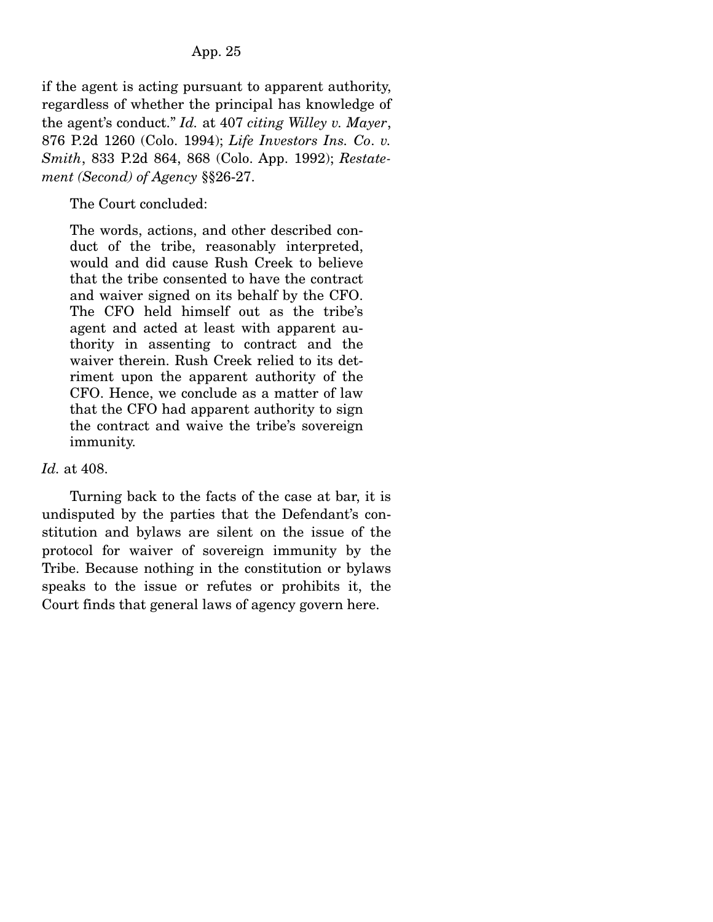if the agent is acting pursuant to apparent authority, regardless of whether the principal has knowledge of the agent's conduct." *Id.* at 407 *citing Willey v. Mayer*, 876 P.2d 1260 (Colo. 1994); *Life Investors Ins. Co*. *v. Smith*, 833 P.2d 864, 868 (Colo. App. 1992); *Restatement (Second) of Agency* §§26-27.

The Court concluded:

The words, actions, and other described conduct of the tribe, reasonably interpreted, would and did cause Rush Creek to believe that the tribe consented to have the contract and waiver signed on its behalf by the CFO. The CFO held himself out as the tribe's agent and acted at least with apparent authority in assenting to contract and the waiver therein. Rush Creek relied to its detriment upon the apparent authority of the CFO. Hence, we conclude as a matter of law that the CFO had apparent authority to sign the contract and waive the tribe's sovereign immunity.

## *Id.* at 408.

Turning back to the facts of the case at bar, it is undisputed by the parties that the Defendant's constitution and bylaws are silent on the issue of the protocol for waiver of sovereign immunity by the Tribe. Because nothing in the constitution or bylaws speaks to the issue or refutes or prohibits it, the Court finds that general laws of agency govern here.